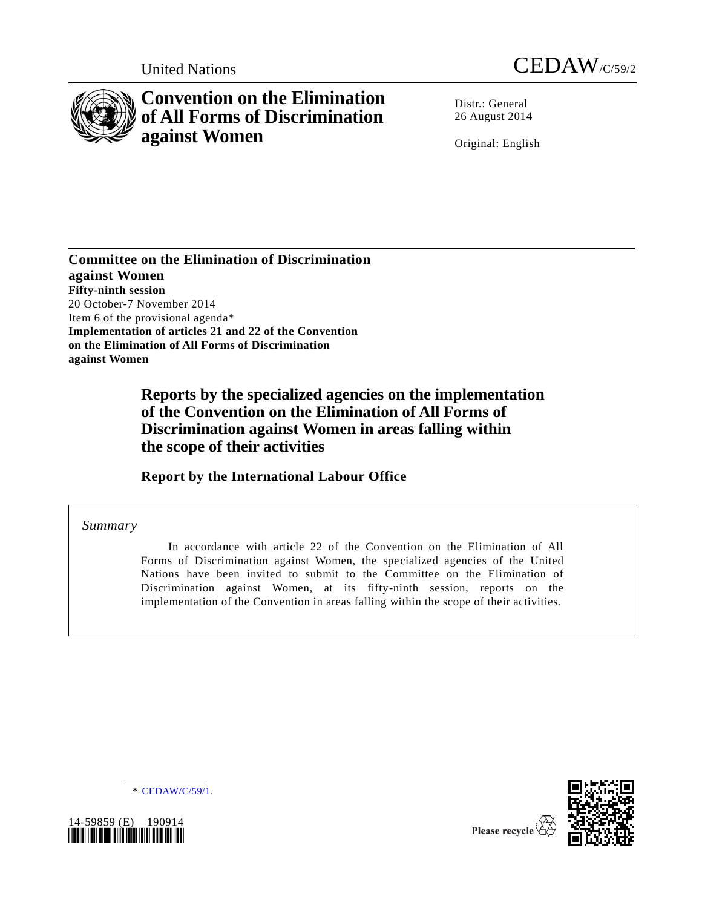



# **Convention on the Elimination of All Forms of Discrimination against Women**

Distr.: General 26 August 2014

Original: English

**Committee on the Elimination of Discrimination against Women Fifty-ninth session** 20 October-7 November 2014 Item 6 of the provisional agenda\* **Implementation of articles 21 and 22 of the Convention on the Elimination of All Forms of Discrimination against Women**

> **Reports by the specialized agencies on the implementation of the Convention on the Elimination of All Forms of Discrimination against Women in areas falling within the scope of their activities**

**Report by the International Labour Office**

*Summary*

In accordance with article 22 of the Convention on the Elimination of All Forms of Discrimination against Women, the specialized agencies of the United Nations have been invited to submit to the Committee on the Elimination of Discrimination against Women, at its fifty-ninth session, reports on the implementation of the Convention in areas falling within the scope of their activities.

\* [CEDAW/C/59/1.](http://undocs.org/CEDAW/C/59/1)



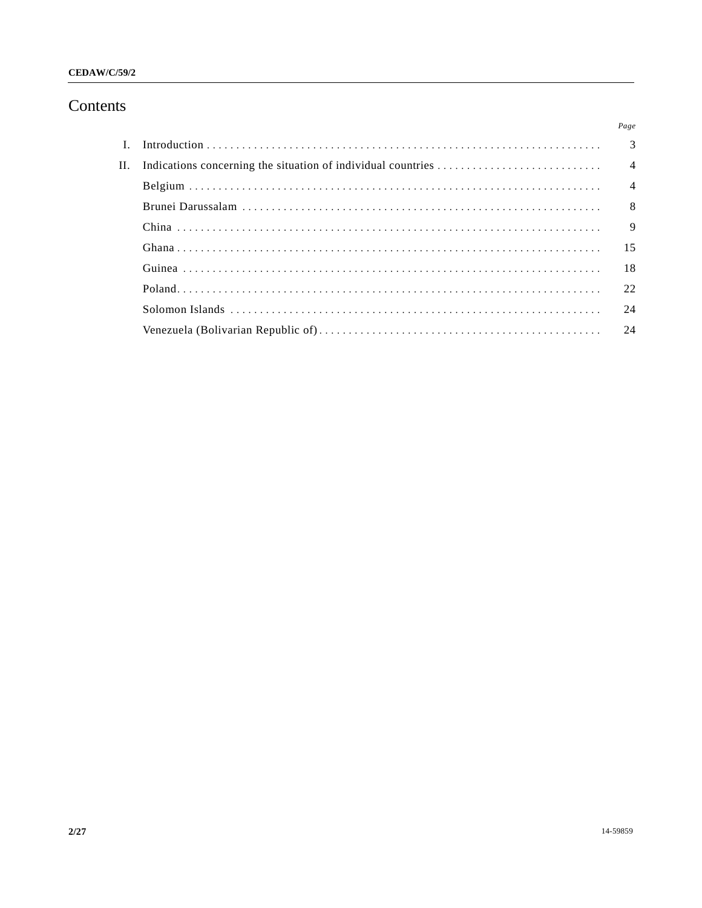# Contents

|  | Page           |
|--|----------------|
|  |                |
|  |                |
|  |                |
|  |                |
|  | $\overline{9}$ |
|  |                |
|  |                |
|  |                |
|  | 24             |
|  |                |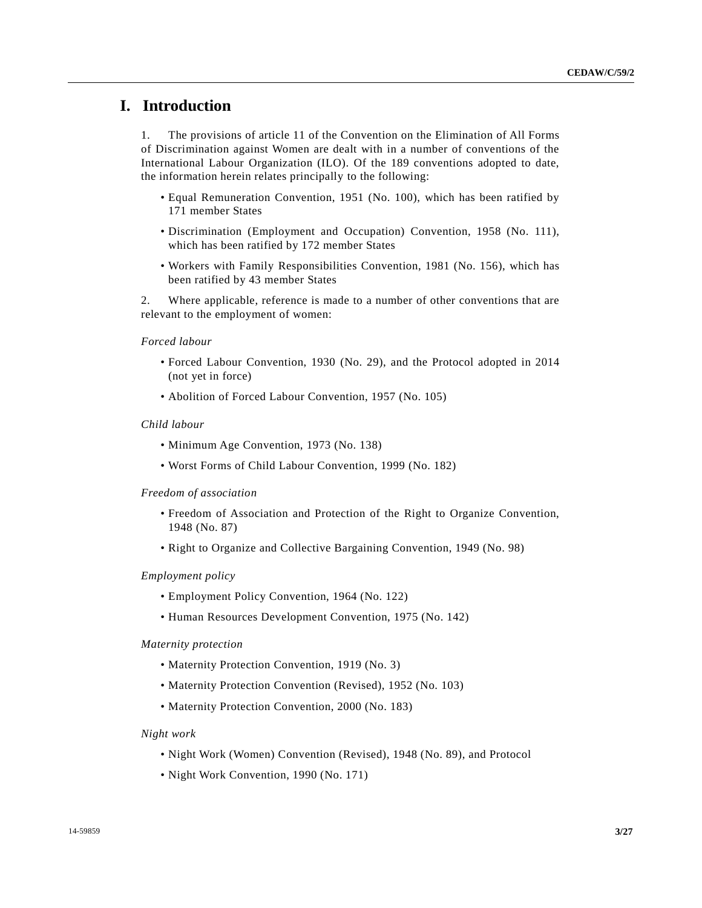# **I. Introduction**

1. The provisions of article 11 of the Convention on the Elimination of All Forms of Discrimination against Women are dealt with in a number of conventions of the International Labour Organization (ILO). Of the 189 conventions adopted to date, the information herein relates principally to the following:

- Equal Remuneration Convention, 1951 (No. 100), which has been ratified by 171 member States
- Discrimination (Employment and Occupation) Convention, 1958 (No. 111), which has been ratified by 172 member States
- Workers with Family Responsibilities Convention, 1981 (No. 156), which has been ratified by 43 member States

2. Where applicable, reference is made to a number of other conventions that are relevant to the employment of women:

#### *Forced labour*

- Forced Labour Convention, 1930 (No. 29), and the Protocol adopted in 2014 (not yet in force)
- Abolition of Forced Labour Convention, 1957 (No. 105)

## *Child labour*

- Minimum Age Convention, 1973 (No. 138)
- Worst Forms of Child Labour Convention, 1999 (No. 182)

#### *Freedom of association*

- Freedom of Association and Protection of the Right to Organize Convention, 1948 (No. 87)
- Right to Organize and Collective Bargaining Convention, 1949 (No. 98)

#### *Employment policy*

- Employment Policy Convention, 1964 (No. 122)
- Human Resources Development Convention, 1975 (No. 142)

## *Maternity protection*

- Maternity Protection Convention, 1919 (No. 3)
- Maternity Protection Convention (Revised), 1952 (No. 103)
- Maternity Protection Convention, 2000 (No. 183)

#### *Night work*

- Night Work (Women) Convention (Revised), 1948 (No. 89), and Protocol
- Night Work Convention, 1990 (No. 171)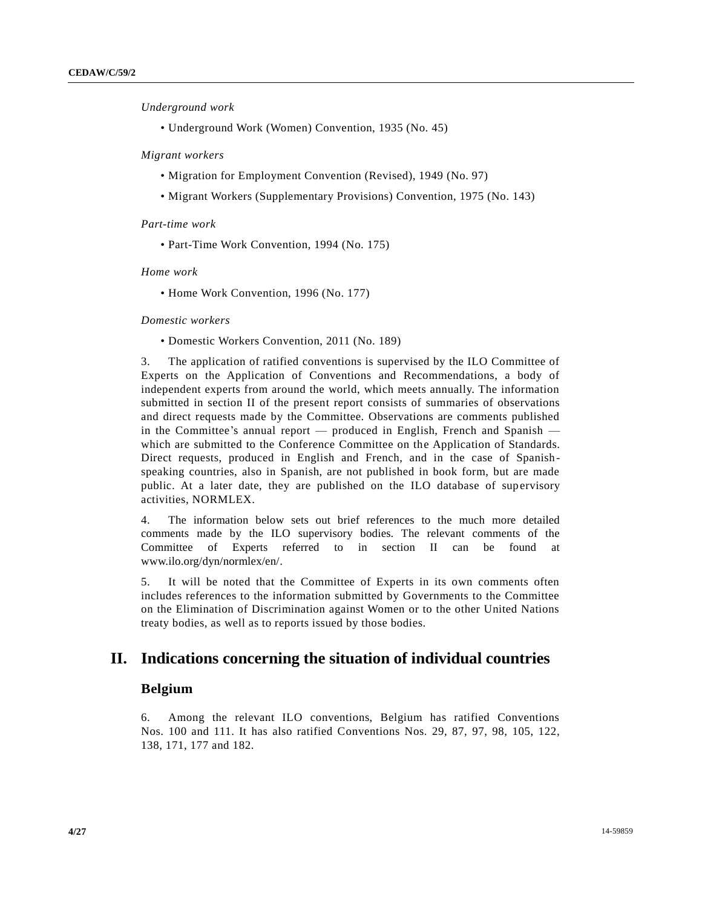*Underground work* 

• Underground Work (Women) Convention, 1935 (No. 45)

*Migrant workers*

- Migration for Employment Convention (Revised), 1949 (No. 97)
- Migrant Workers (Supplementary Provisions) Convention, 1975 (No. 143)

*Part-time work* 

• Part-Time Work Convention, 1994 (No. 175)

*Home work* 

• Home Work Convention, 1996 (No. 177)

## *Domestic workers*

• Domestic Workers Convention, 2011 (No. 189)

3. The application of ratified conventions is supervised by the ILO Committee of Experts on the Application of Conventions and Recommendations, a body of independent experts from around the world, which meets annually. The information submitted in section II of the present report consists of summaries of observations and direct requests made by the Committee. Observations are comments published in the Committee's annual report — produced in English, French and Spanish which are submitted to the Conference Committee on the Application of Standards. Direct requests, produced in English and French, and in the case of Spanishspeaking countries, also in Spanish, are not published in book form, but are made public. At a later date, they are published on the ILO database of supervisory activities, NORMLEX.

4. The information below sets out brief references to the much more detailed comments made by the ILO supervisory bodies. The relevant comments of the Committee of Experts referred to in section  $II$  can be found www.ilo.org/dyn/normlex/en/.

5. It will be noted that the Committee of Experts in its own comments often includes references to the information submitted by Governments to the Committee on the Elimination of Discrimination against Women or to the other United Nations treaty bodies, as well as to reports issued by those bodies.

# **II. Indications concerning the situation of individual countries**

## **Belgium**

6. Among the relevant ILO conventions, Belgium has ratified Conventions Nos. 100 and 111. It has also ratified Conventions Nos. 29, 87, 97, 98, 105, 122, 138, 171, 177 and 182.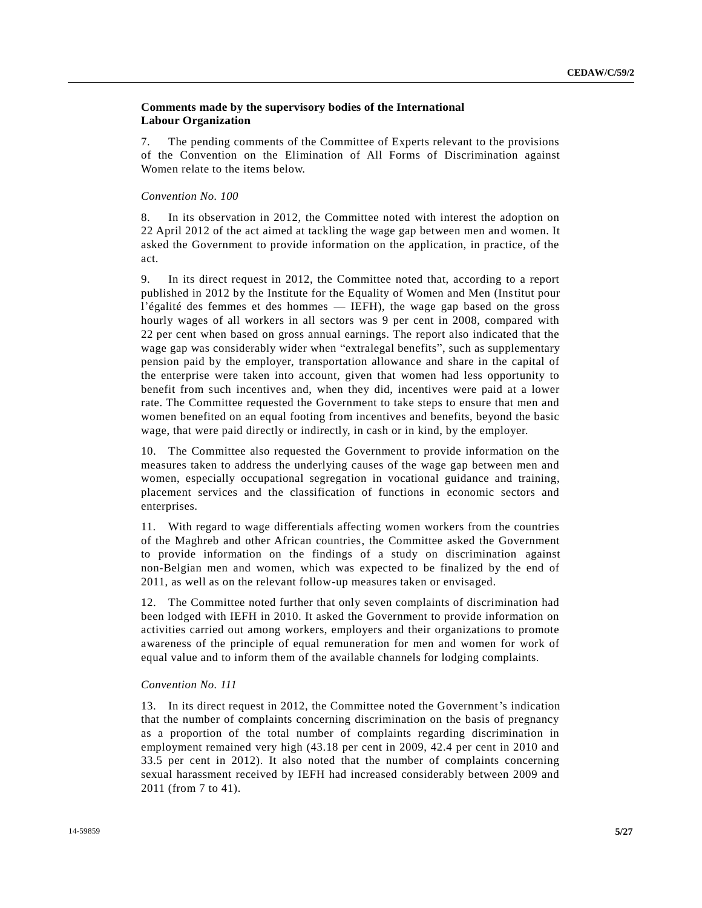## **Comments made by the supervisory bodies of the International Labour Organization**

7. The pending comments of the Committee of Experts relevant to the provisions of the Convention on the Elimination of All Forms of Discrimination against Women relate to the items below.

## *Convention No. 100*

8. In its observation in 2012, the Committee noted with interest the adoption on 22 April 2012 of the act aimed at tackling the wage gap between men and women. It asked the Government to provide information on the application, in practice, of the act.

9. In its direct request in 2012, the Committee noted that, according to a report published in 2012 by the Institute for the Equality of Women and Men (Institut pour l'égalité des femmes et des hommes — IEFH), the wage gap based on the gross hourly wages of all workers in all sectors was 9 per cent in 2008, compared with 22 per cent when based on gross annual earnings. The report also indicated that the wage gap was considerably wider when "extralegal benefits", such as supplementary pension paid by the employer, transportation allowance and share in the capital of the enterprise were taken into account, given that women had less opportunity to benefit from such incentives and, when they did, incentives were paid at a lower rate. The Committee requested the Government to take steps to ensure that men and women benefited on an equal footing from incentives and benefits, beyond the basic wage, that were paid directly or indirectly, in cash or in kind, by the employer.

10. The Committee also requested the Government to provide information on the measures taken to address the underlying causes of the wage gap between men and women, especially occupational segregation in vocational guidance and training, placement services and the classification of functions in economic sectors and enterprises.

11. With regard to wage differentials affecting women workers from the countries of the Maghreb and other African countries, the Committee asked the Government to provide information on the findings of a study on discrimination against non-Belgian men and women, which was expected to be finalized by the end of 2011, as well as on the relevant follow-up measures taken or envisaged.

12. The Committee noted further that only seven complaints of discrimination had been lodged with IEFH in 2010. It asked the Government to provide information on activities carried out among workers, employers and their organizations to promote awareness of the principle of equal remuneration for men and women for work of equal value and to inform them of the available channels for lodging complaints.

#### *Convention No. 111*

13. In its direct request in 2012, the Committee noted the Government's indication that the number of complaints concerning discrimination on the basis of pregnancy as a proportion of the total number of complaints regarding discrimination in employment remained very high (43.18 per cent in 2009, 42.4 per cent in 2010 and 33.5 per cent in 2012). It also noted that the number of complaints concerning sexual harassment received by IEFH had increased considerably between 2009 and 2011 (from 7 to 41).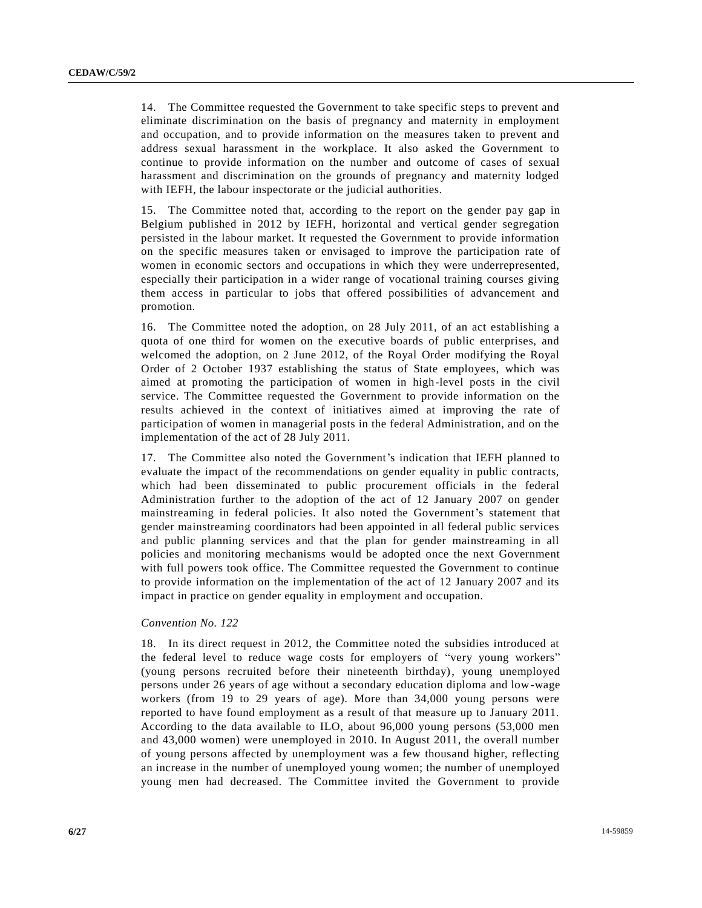14. The Committee requested the Government to take specific steps to prevent and eliminate discrimination on the basis of pregnancy and maternity in employment and occupation, and to provide information on the measures taken to prevent and address sexual harassment in the workplace. It also asked the Government to continue to provide information on the number and outcome of cases of sexual harassment and discrimination on the grounds of pregnancy and maternity lodged with IEFH, the labour inspectorate or the judicial authorities.

15. The Committee noted that, according to the report on the gender pay gap in Belgium published in 2012 by IEFH, horizontal and vertical gender segregation persisted in the labour market. It requested the Government to provide information on the specific measures taken or envisaged to improve the participation rate of women in economic sectors and occupations in which they were underrepresented, especially their participation in a wider range of vocational training courses giving them access in particular to jobs that offered possibilities of advancement and promotion.

16. The Committee noted the adoption, on 28 July 2011, of an act establishing a quota of one third for women on the executive boards of public enterprises, and welcomed the adoption, on 2 June 2012, of the Royal Order modifying the Royal Order of 2 October 1937 establishing the status of State employees, which was aimed at promoting the participation of women in high-level posts in the civil service. The Committee requested the Government to provide information on the results achieved in the context of initiatives aimed at improving the rate of participation of women in managerial posts in the federal Administration, and on the implementation of the act of 28 July 2011.

17. The Committee also noted the Government's indication that IEFH planned to evaluate the impact of the recommendations on gender equality in public contracts, which had been disseminated to public procurement officials in the federal Administration further to the adoption of the act of 12 January 2007 on gender mainstreaming in federal policies. It also noted the Government's statement that gender mainstreaming coordinators had been appointed in all federal public services and public planning services and that the plan for gender mainstreaming in all policies and monitoring mechanisms would be adopted once the next Government with full powers took office. The Committee requested the Government to continue to provide information on the implementation of the act of 12 January 2007 and its impact in practice on gender equality in employment and occupation.

#### *Convention No. 122*

18. In its direct request in 2012, the Committee noted the subsidies introduced at the federal level to reduce wage costs for employers of "very young workers" (young persons recruited before their nineteenth birthday), young unemployed persons under 26 years of age without a secondary education diploma and low-wage workers (from 19 to 29 years of age). More than 34,000 young persons were reported to have found employment as a result of that measure up to January 2011. According to the data available to ILO, about 96,000 young persons (53,000 men and 43,000 women) were unemployed in 2010. In August 2011, the overall number of young persons affected by unemployment was a few thousand higher, reflecting an increase in the number of unemployed young women; the number of unemployed young men had decreased. The Committee invited the Government to provide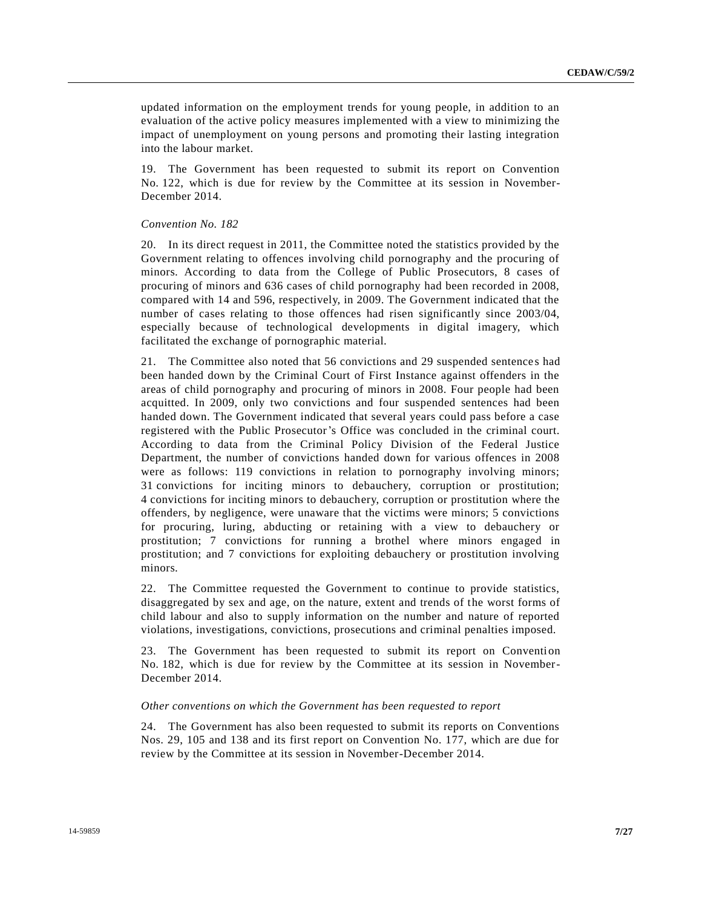updated information on the employment trends for young people, in addition to an evaluation of the active policy measures implemented with a view to minimizing the impact of unemployment on young persons and promoting their lasting integration into the labour market.

19. The Government has been requested to submit its report on Convention No. 122, which is due for review by the Committee at its session in November-December 2014.

#### *Convention No. 182*

20. In its direct request in 2011, the Committee noted the statistics provided by the Government relating to offences involving child pornography and the procuring of minors. According to data from the College of Public Prosecutors, 8 cases of procuring of minors and 636 cases of child pornography had been recorded in 2008, compared with 14 and 596, respectively, in 2009. The Government indicated that the number of cases relating to those offences had risen significantly since 2003/04, especially because of technological developments in digital imagery, which facilitated the exchange of pornographic material.

21. The Committee also noted that 56 convictions and 29 suspended sentence s had been handed down by the Criminal Court of First Instance against offenders in the areas of child pornography and procuring of minors in 2008. Four people had been acquitted. In 2009, only two convictions and four suspended sentences had been handed down. The Government indicated that several years could pass before a case registered with the Public Prosecutor's Office was concluded in the criminal court. According to data from the Criminal Policy Division of the Federal Justice Department, the number of convictions handed down for various offences in 2008 were as follows: 119 convictions in relation to pornography involving minors; 31 convictions for inciting minors to debauchery, corruption or prostitution; 4 convictions for inciting minors to debauchery, corruption or prostitution where the offenders, by negligence, were unaware that the victims were minors; 5 convictions for procuring, luring, abducting or retaining with a view to debauchery or prostitution; 7 convictions for running a brothel where minors engaged in prostitution; and 7 convictions for exploiting debauchery or prostitution involving minors.

22. The Committee requested the Government to continue to provide statistics, disaggregated by sex and age, on the nature, extent and trends of the worst forms of child labour and also to supply information on the number and nature of reported violations, investigations, convictions, prosecutions and criminal penalties imposed.

23. The Government has been requested to submit its report on Convention No. 182, which is due for review by the Committee at its session in November-December 2014.

#### *Other conventions on which the Government has been requested to report*

24. The Government has also been requested to submit its reports on Conventions Nos. 29, 105 and 138 and its first report on Convention No. 177, which are due for review by the Committee at its session in November-December 2014.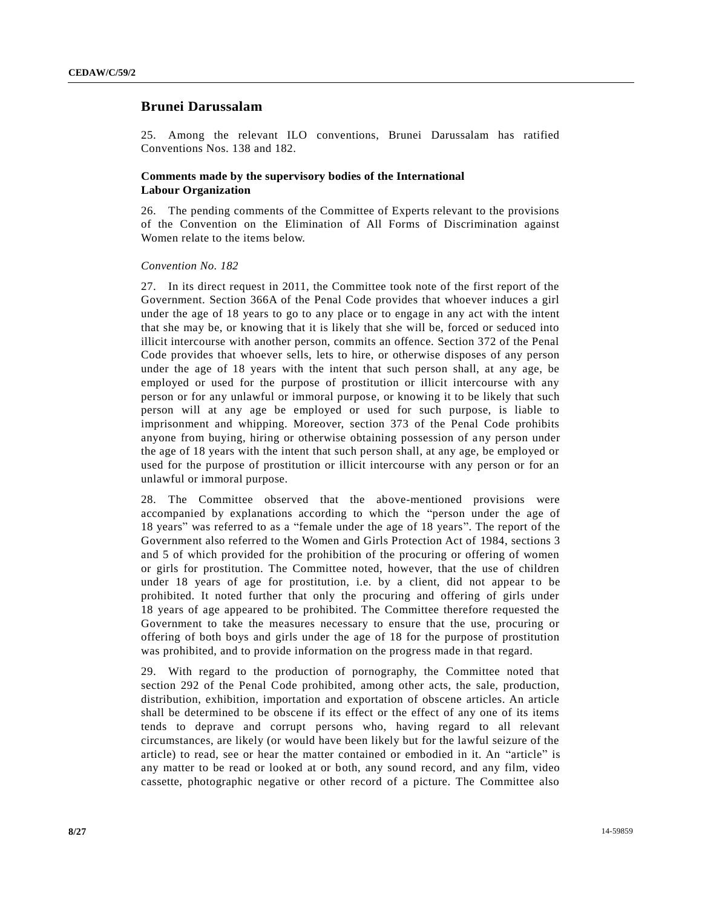# **Brunei Darussalam**

25. Among the relevant ILO conventions, Brunei Darussalam has ratified Conventions Nos. 138 and 182.

## **Comments made by the supervisory bodies of the International Labour Organization**

26. The pending comments of the Committee of Experts relevant to the provisions of the Convention on the Elimination of All Forms of Discrimination against Women relate to the items below.

#### *Convention No. 182*

27. In its direct request in 2011, the Committee took note of the first report of the Government. Section 366A of the Penal Code provides that whoever induces a girl under the age of 18 years to go to any place or to engage in any act with the intent that she may be, or knowing that it is likely that she will be, forced or seduced into illicit intercourse with another person, commits an offence. Section 372 of the Penal Code provides that whoever sells, lets to hire, or otherwise disposes of any person under the age of 18 years with the intent that such person shall, at any age, be employed or used for the purpose of prostitution or illicit intercourse with any person or for any unlawful or immoral purpose, or knowing it to be likely that such person will at any age be employed or used for such purpose, is liable to imprisonment and whipping. Moreover, section 373 of the Penal Code prohibits anyone from buying, hiring or otherwise obtaining possession of any person under the age of 18 years with the intent that such person shall, at any age, be employed or used for the purpose of prostitution or illicit intercourse with any person or for an unlawful or immoral purpose.

28. The Committee observed that the above-mentioned provisions were accompanied by explanations according to which the "person under the age of 18 years" was referred to as a "female under the age of 18 years". The report of the Government also referred to the Women and Girls Protection Act of 1984, sections 3 and 5 of which provided for the prohibition of the procuring or offering of women or girls for prostitution. The Committee noted, however, that the use of children under  $18$  years of age for prostitution, i.e. by a client, did not appear to be prohibited. It noted further that only the procuring and offering of girls under 18 years of age appeared to be prohibited. The Committee therefore requested the Government to take the measures necessary to ensure that the use, procuring or offering of both boys and girls under the age of 18 for the purpose of prostitution was prohibited, and to provide information on the progress made in that regard.

29. With regard to the production of pornography, the Committee noted that section 292 of the Penal Code prohibited, among other acts, the sale, production, distribution, exhibition, importation and exportation of obscene articles. An article shall be determined to be obscene if its effect or the effect of any one of its items tends to deprave and corrupt persons who, having regard to all relevant circumstances, are likely (or would have been likely but for the lawful seizure of the article) to read, see or hear the matter contained or embodied in it. An "article" is any matter to be read or looked at or both, any sound record, and any film, video cassette, photographic negative or other record of a picture. The Committee also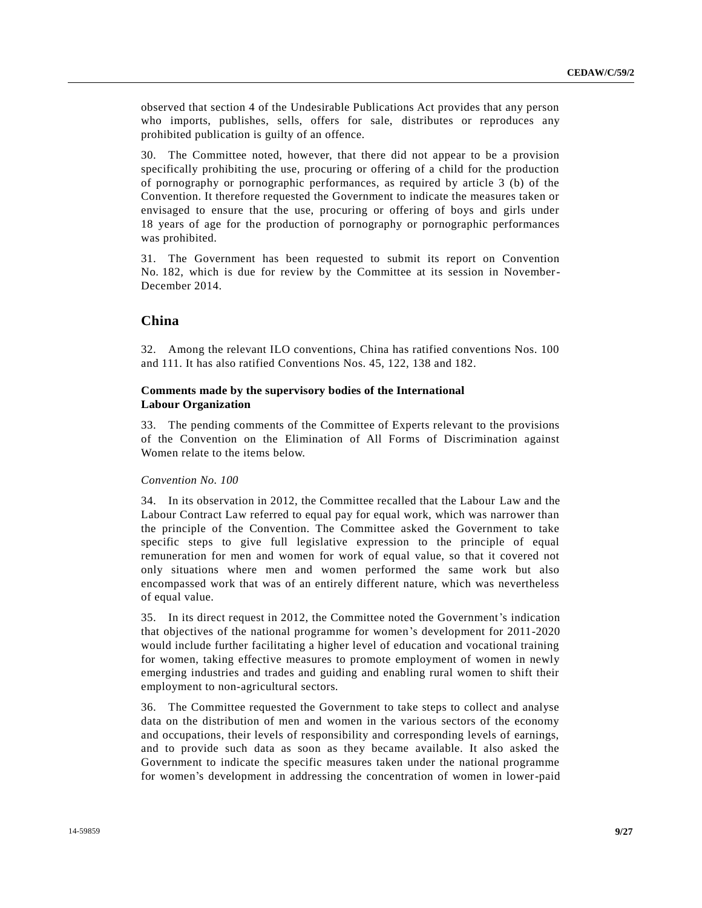observed that section 4 of the Undesirable Publications Act provides that any person who imports, publishes, sells, offers for sale, distributes or reproduces any prohibited publication is guilty of an offence.

30. The Committee noted, however, that there did not appear to be a provision specifically prohibiting the use, procuring or offering of a child for the production of pornography or pornographic performances, as required by article 3 (b) of the Convention. It therefore requested the Government to indicate the measures taken or envisaged to ensure that the use, procuring or offering of boys and girls under 18 years of age for the production of pornography or pornographic performances was prohibited.

31. The Government has been requested to submit its report on Convention No. 182, which is due for review by the Committee at its session in November-December 2014.

# **China**

32. Among the relevant ILO conventions, China has ratified conventions Nos. 100 and 111. It has also ratified Conventions Nos. 45, 122, 138 and 182.

## **Comments made by the supervisory bodies of the International Labour Organization**

33. The pending comments of the Committee of Experts relevant to the provisions of the Convention on the Elimination of All Forms of Discrimination against Women relate to the items below.

## *Convention No. 100*

34. In its observation in 2012, the Committee recalled that the Labour Law and the Labour Contract Law referred to equal pay for equal work, which was narrower than the principle of the Convention. The Committee asked the Government to take specific steps to give full legislative expression to the principle of equal remuneration for men and women for work of equal value, so that it covered not only situations where men and women performed the same work but also encompassed work that was of an entirely different nature, which was nevertheless of equal value.

35. In its direct request in 2012, the Committee noted the Government's indication that objectives of the national programme for women's development for 2011-2020 would include further facilitating a higher level of education and vocational training for women, taking effective measures to promote employment of women in newly emerging industries and trades and guiding and enabling rural women to shift their employment to non-agricultural sectors.

36. The Committee requested the Government to take steps to collect and analyse data on the distribution of men and women in the various sectors of the economy and occupations, their levels of responsibility and corresponding levels of earnings, and to provide such data as soon as they became available. It also asked the Government to indicate the specific measures taken under the national programme for women's development in addressing the concentration of women in lower-paid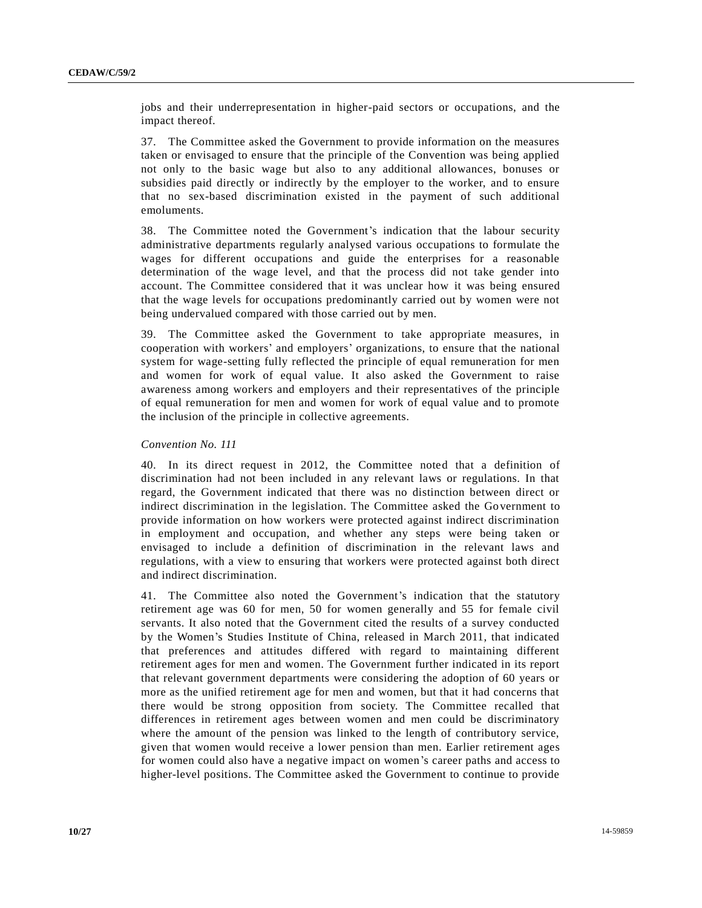jobs and their underrepresentation in higher-paid sectors or occupations, and the impact thereof.

37. The Committee asked the Government to provide information on the measures taken or envisaged to ensure that the principle of the Convention was being applied not only to the basic wage but also to any additional allowances, bonuses or subsidies paid directly or indirectly by the employer to the worker, and to ensure that no sex-based discrimination existed in the payment of such additional emoluments.

38. The Committee noted the Government's indication that the labour security administrative departments regularly analysed various occupations to formulate the wages for different occupations and guide the enterprises for a reasonable determination of the wage level, and that the process did not take gender into account. The Committee considered that it was unclear how it was being ensured that the wage levels for occupations predominantly carried out by women were not being undervalued compared with those carried out by men.

39. The Committee asked the Government to take appropriate measures, in cooperation with workers' and employers' organizations, to ensure that the national system for wage-setting fully reflected the principle of equal remuneration for men and women for work of equal value. It also asked the Government to raise awareness among workers and employers and their representatives of the principle of equal remuneration for men and women for work of equal value and to promote the inclusion of the principle in collective agreements.

## *Convention No. 111*

40. In its direct request in 2012, the Committee noted that a definition of discrimination had not been included in any relevant laws or regulations. In that regard, the Government indicated that there was no distinction between direct or indirect discrimination in the legislation. The Committee asked the Government to provide information on how workers were protected against indirect discrimination in employment and occupation, and whether any steps were being taken or envisaged to include a definition of discrimination in the relevant laws and regulations, with a view to ensuring that workers were protected against both direct and indirect discrimination.

41. The Committee also noted the Government's indication that the statutory retirement age was 60 for men, 50 for women generally and 55 for female civil servants. It also noted that the Government cited the results of a survey conducted by the Women's Studies Institute of China, released in March 2011, that indicated that preferences and attitudes differed with regard to maintaining different retirement ages for men and women. The Government further indicated in its report that relevant government departments were considering the adoption of 60 years or more as the unified retirement age for men and women, but that it had concerns that there would be strong opposition from society. The Committee recalled that differences in retirement ages between women and men could be discriminatory where the amount of the pension was linked to the length of contributory service, given that women would receive a lower pension than men. Earlier retirement ages for women could also have a negative impact on women's career paths and access to higher-level positions. The Committee asked the Government to continue to provide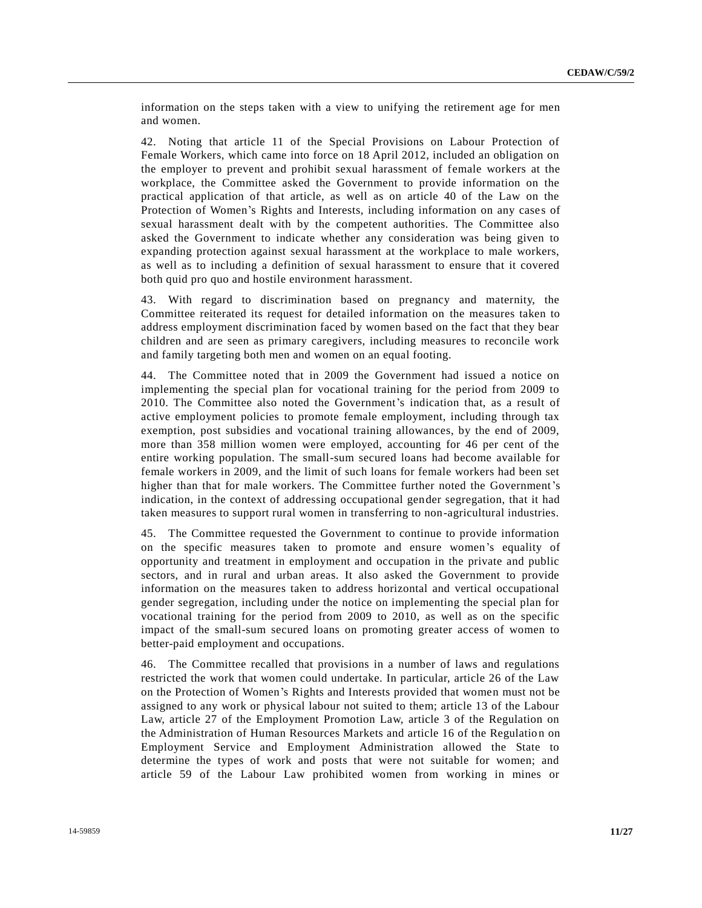information on the steps taken with a view to unifying the retirement age for men and women.

42. Noting that article 11 of the Special Provisions on Labour Protection of Female Workers, which came into force on 18 April 2012, included an obligation on the employer to prevent and prohibit sexual harassment of female workers at the workplace, the Committee asked the Government to provide information on the practical application of that article, as well as on article 40 of the Law on the Protection of Women's Rights and Interests, including information on any cases of sexual harassment dealt with by the competent authorities. The Committee also asked the Government to indicate whether any consideration was being given to expanding protection against sexual harassment at the workplace to male workers, as well as to including a definition of sexual harassment to ensure that it covered both quid pro quo and hostile environment harassment.

43. With regard to discrimination based on pregnancy and maternity, the Committee reiterated its request for detailed information on the measures taken to address employment discrimination faced by women based on the fact that they bear children and are seen as primary caregivers, including measures to reconcile work and family targeting both men and women on an equal footing.

44. The Committee noted that in 2009 the Government had issued a notice on implementing the special plan for vocational training for the period from 2009 to 2010. The Committee also noted the Government's indication that, as a result of active employment policies to promote female employment, including through tax exemption, post subsidies and vocational training allowances, by the end of 2009, more than 358 million women were employed, accounting for 46 per cent of the entire working population. The small-sum secured loans had become available for female workers in 2009, and the limit of such loans for female workers had been set higher than that for male workers. The Committee further noted the Government's indication, in the context of addressing occupational gender segregation, that it had taken measures to support rural women in transferring to non-agricultural industries.

45. The Committee requested the Government to continue to provide information on the specific measures taken to promote and ensure women's equality of opportunity and treatment in employment and occupation in the private and public sectors, and in rural and urban areas. It also asked the Government to provide information on the measures taken to address horizontal and vertical occupational gender segregation, including under the notice on implementing the special plan for vocational training for the period from 2009 to 2010, as well as on the specific impact of the small-sum secured loans on promoting greater access of women to better-paid employment and occupations.

46. The Committee recalled that provisions in a number of laws and regulations restricted the work that women could undertake. In particular, article 26 of the Law on the Protection of Women's Rights and Interests provided that women must not be assigned to any work or physical labour not suited to them; article 13 of the Labour Law, article 27 of the Employment Promotion Law, article 3 of the Regulation on the Administration of Human Resources Markets and article 16 of the Regulatio n on Employment Service and Employment Administration allowed the State to determine the types of work and posts that were not suitable for women; and article 59 of the Labour Law prohibited women from working in mines or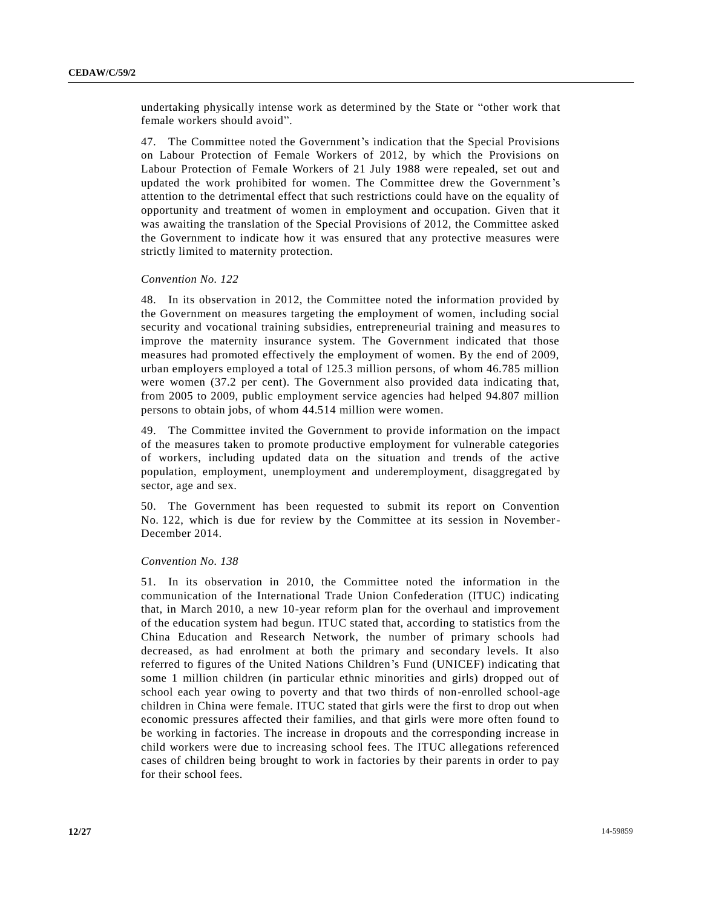undertaking physically intense work as determined by the State or "other work that female workers should avoid".

47. The Committee noted the Government's indication that the Special Provisions on Labour Protection of Female Workers of 2012, by which the Provisions on Labour Protection of Female Workers of 21 July 1988 were repealed, set out and updated the work prohibited for women. The Committee drew the Government's attention to the detrimental effect that such restrictions could have on the equality of opportunity and treatment of women in employment and occupation. Given that it was awaiting the translation of the Special Provisions of 2012, the Committee asked the Government to indicate how it was ensured that any protective measures were strictly limited to maternity protection.

## *Convention No. 122*

48. In its observation in 2012, the Committee noted the information provided by the Government on measures targeting the employment of women, including social security and vocational training subsidies, entrepreneurial training and measures to improve the maternity insurance system. The Government indicated that those measures had promoted effectively the employment of women. By the end of 2009, urban employers employed a total of 125.3 million persons, of whom 46.785 million were women (37.2 per cent). The Government also provided data indicating that, from 2005 to 2009, public employment service agencies had helped 94.807 million persons to obtain jobs, of whom 44.514 million were women.

49. The Committee invited the Government to provide information on the impact of the measures taken to promote productive employment for vulnerable categories of workers, including updated data on the situation and trends of the active population, employment, unemployment and underemployment, disaggregated by sector, age and sex.

50. The Government has been requested to submit its report on Convention No. 122, which is due for review by the Committee at its session in November-December 2014.

#### *Convention No. 138*

51. In its observation in 2010, the Committee noted the information in the communication of the International Trade Union Confederation (ITUC) indicating that, in March 2010, a new 10-year reform plan for the overhaul and improvement of the education system had begun. ITUC stated that, according to statistics from the China Education and Research Network, the number of primary schools had decreased, as had enrolment at both the primary and secondary levels. It also referred to figures of the United Nations Children's Fund (UNICEF) indicating that some 1 million children (in particular ethnic minorities and girls) dropped out of school each year owing to poverty and that two thirds of non-enrolled school-age children in China were female. ITUC stated that girls were the first to drop out when economic pressures affected their families, and that girls were more often found to be working in factories. The increase in dropouts and the corresponding increase in child workers were due to increasing school fees. The ITUC allegations referenced cases of children being brought to work in factories by their parents in order to pay for their school fees.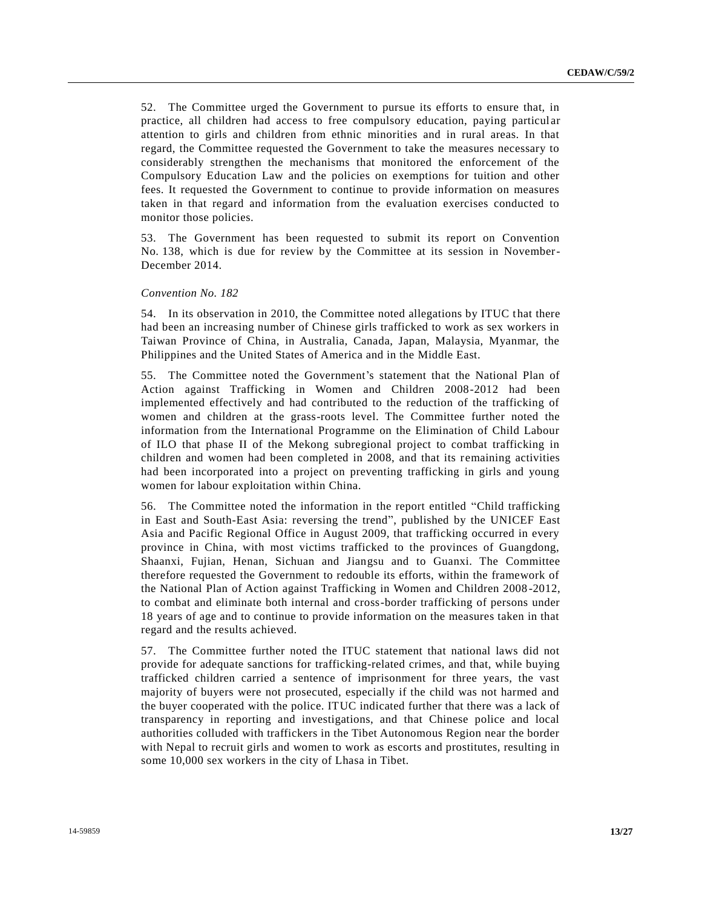52. The Committee urged the Government to pursue its efforts to ensure that, in practice, all children had access to free compulsory education, paying particul ar attention to girls and children from ethnic minorities and in rural areas. In that regard, the Committee requested the Government to take the measures necessary to considerably strengthen the mechanisms that monitored the enforcement of the Compulsory Education Law and the policies on exemptions for tuition and other fees. It requested the Government to continue to provide information on measures taken in that regard and information from the evaluation exercises conducted to monitor those policies.

53. The Government has been requested to submit its report on Convention No. 138, which is due for review by the Committee at its session in November-December 2014.

#### *Convention No. 182*

54. In its observation in 2010, the Committee noted allegations by ITUC that there had been an increasing number of Chinese girls trafficked to work as sex workers in Taiwan Province of China, in Australia, Canada, Japan, Malaysia, Myanmar, the Philippines and the United States of America and in the Middle East.

55. The Committee noted the Government's statement that the National Plan of Action against Trafficking in Women and Children 2008-2012 had been implemented effectively and had contributed to the reduction of the trafficking of women and children at the grass-roots level. The Committee further noted the information from the International Programme on the Elimination of Child Labour of ILO that phase II of the Mekong subregional project to combat trafficking in children and women had been completed in 2008, and that its remaining activities had been incorporated into a project on preventing trafficking in girls and young women for labour exploitation within China.

56. The Committee noted the information in the report entitled "Child trafficking in East and South-East Asia: reversing the trend", published by the UNICEF East Asia and Pacific Regional Office in August 2009, that trafficking occurred in every province in China, with most victims trafficked to the provinces of Guangdong, Shaanxi, Fujian, Henan, Sichuan and Jiangsu and to Guanxi. The Committee therefore requested the Government to redouble its efforts, within the framework of the National Plan of Action against Trafficking in Women and Children 2008 -2012, to combat and eliminate both internal and cross-border trafficking of persons under 18 years of age and to continue to provide information on the measures taken in that regard and the results achieved.

57. The Committee further noted the ITUC statement that national laws did not provide for adequate sanctions for trafficking-related crimes, and that, while buying trafficked children carried a sentence of imprisonment for three years, the vast majority of buyers were not prosecuted, especially if the child was not harmed and the buyer cooperated with the police. ITUC indicated further that there was a lack of transparency in reporting and investigations, and that Chinese police and local authorities colluded with traffickers in the Tibet Autonomous Region near the border with Nepal to recruit girls and women to work as escorts and prostitutes, resulting in some 10,000 sex workers in the city of Lhasa in Tibet.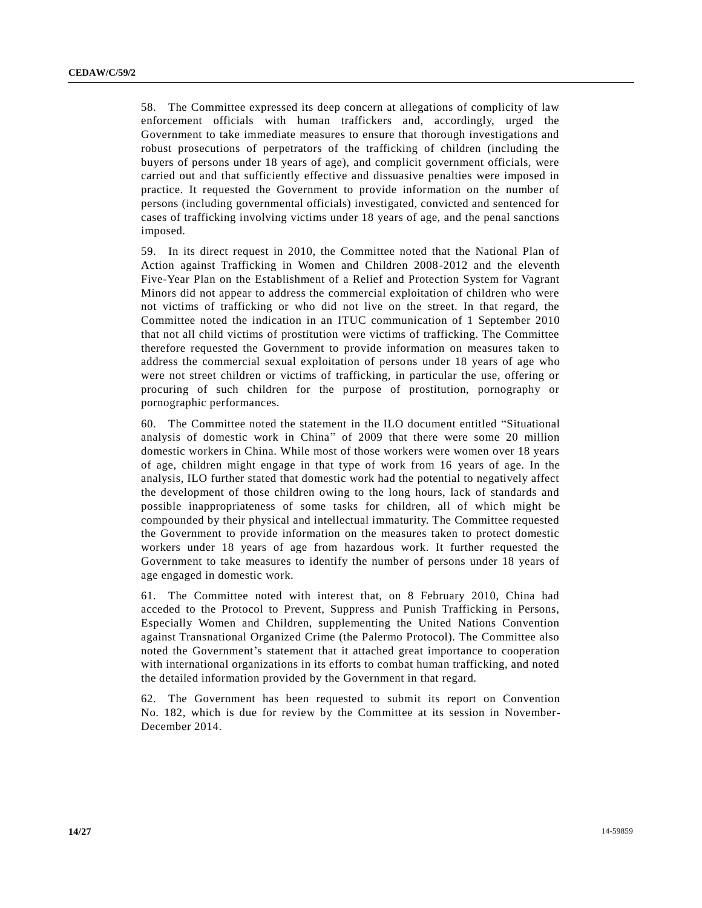58. The Committee expressed its deep concern at allegations of complicity of law enforcement officials with human traffickers and, accordingly, urged the Government to take immediate measures to ensure that thorough investigations and robust prosecutions of perpetrators of the trafficking of children (including the buyers of persons under 18 years of age), and complicit government officials, were carried out and that sufficiently effective and dissuasive penalties were imposed in practice. It requested the Government to provide information on the number of persons (including governmental officials) investigated, convicted and sentenced for cases of trafficking involving victims under 18 years of age, and the penal sanctions imposed.

59. In its direct request in 2010, the Committee noted that the National Plan of Action against Trafficking in Women and Children 2008-2012 and the eleventh Five-Year Plan on the Establishment of a Relief and Protection System for Vagrant Minors did not appear to address the commercial exploitation of children who were not victims of trafficking or who did not live on the street. In that regard, the Committee noted the indication in an ITUC communication of 1 September 2010 that not all child victims of prostitution were victims of trafficking. The Committee therefore requested the Government to provide information on measures taken to address the commercial sexual exploitation of persons under 18 years of age who were not street children or victims of trafficking, in particular the use, offering or procuring of such children for the purpose of prostitution, pornography or pornographic performances.

60. The Committee noted the statement in the ILO document entitled "Situational analysis of domestic work in China" of 2009 that there were some 20 million domestic workers in China. While most of those workers were women over 18 years of age, children might engage in that type of work from 16 years of age. In the analysis, ILO further stated that domestic work had the potential to negatively affect the development of those children owing to the long hours, lack of standards and possible inappropriateness of some tasks for children, all of which might be compounded by their physical and intellectual immaturity. The Committee requested the Government to provide information on the measures taken to protect domestic workers under 18 years of age from hazardous work. It further requested the Government to take measures to identify the number of persons under 18 years of age engaged in domestic work.

61. The Committee noted with interest that, on 8 February 2010, China had acceded to the Protocol to Prevent, Suppress and Punish Trafficking in Persons, Especially Women and Children, supplementing the United Nations Convention against Transnational Organized Crime (the Palermo Protocol). The Committee also noted the Government's statement that it attached great importance to cooperation with international organizations in its efforts to combat human trafficking, and noted the detailed information provided by the Government in that regard.

62. The Government has been requested to submit its report on Convention No. 182, which is due for review by the Committee at its session in November-December 2014.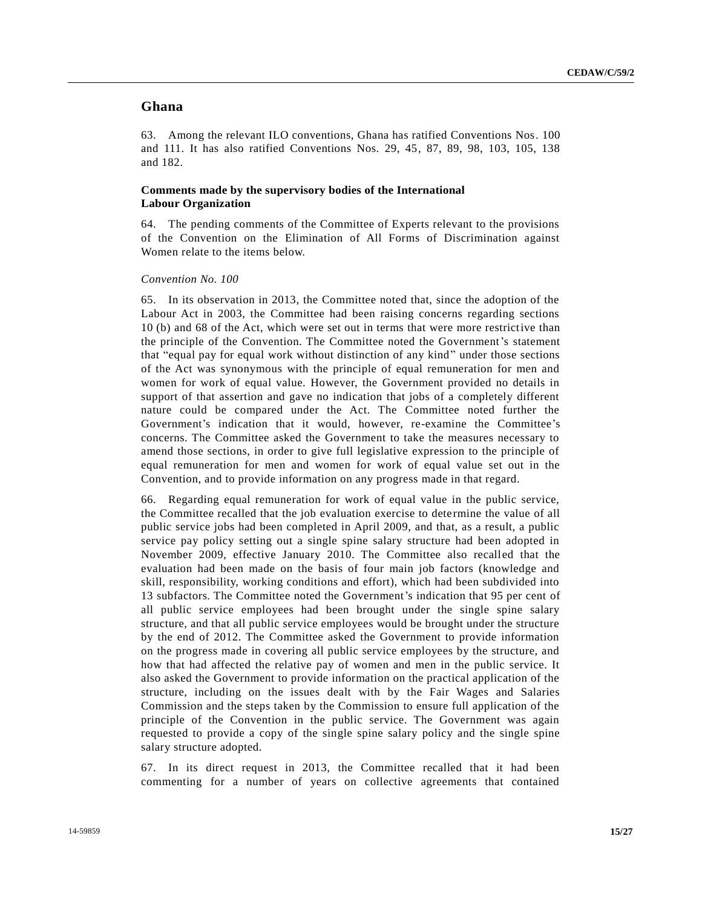# **Ghana**

63. Among the relevant ILO conventions, Ghana has ratified Conventions Nos. 100 and 111. It has also ratified Conventions Nos. 29, 45, 87, 89, 98, 103, 105, 138 and 182.

## **Comments made by the supervisory bodies of the International Labour Organization**

64. The pending comments of the Committee of Experts relevant to the provisions of the Convention on the Elimination of All Forms of Discrimination against Women relate to the items below.

## *Convention No. 100*

65. In its observation in 2013, the Committee noted that, since the adoption of the Labour Act in 2003, the Committee had been raising concerns regarding sections 10 (b) and 68 of the Act, which were set out in terms that were more restrictive than the principle of the Convention. The Committee noted the Government's statement that "equal pay for equal work without distinction of any kind" under those sections of the Act was synonymous with the principle of equal remuneration for men and women for work of equal value. However, the Government provided no details in support of that assertion and gave no indication that jobs of a completely different nature could be compared under the Act. The Committee noted further the Government's indication that it would, however, re-examine the Committee's concerns. The Committee asked the Government to take the measures necessary to amend those sections, in order to give full legislative expression to the principle of equal remuneration for men and women for work of equal value set out in the Convention, and to provide information on any progress made in that regard.

66. Regarding equal remuneration for work of equal value in the public service, the Committee recalled that the job evaluation exercise to determine the value of all public service jobs had been completed in April 2009, and that, as a result, a public service pay policy setting out a single spine salary structure had been adopted in November 2009, effective January 2010. The Committee also recalled that the evaluation had been made on the basis of four main job factors (knowledge and skill, responsibility, working conditions and effort), which had been subdivided into 13 subfactors. The Committee noted the Government's indication that 95 per cent of all public service employees had been brought under the single spine salary structure, and that all public service employees would be brought under the structure by the end of 2012. The Committee asked the Government to provide information on the progress made in covering all public service employees by the structure, and how that had affected the relative pay of women and men in the public service. It also asked the Government to provide information on the practical application of the structure, including on the issues dealt with by the Fair Wages and Salaries Commission and the steps taken by the Commission to ensure full application of the principle of the Convention in the public service. The Government was again requested to provide a copy of the single spine salary policy and the single spine salary structure adopted.

67. In its direct request in 2013, the Committee recalled that it had been commenting for a number of years on collective agreements that contained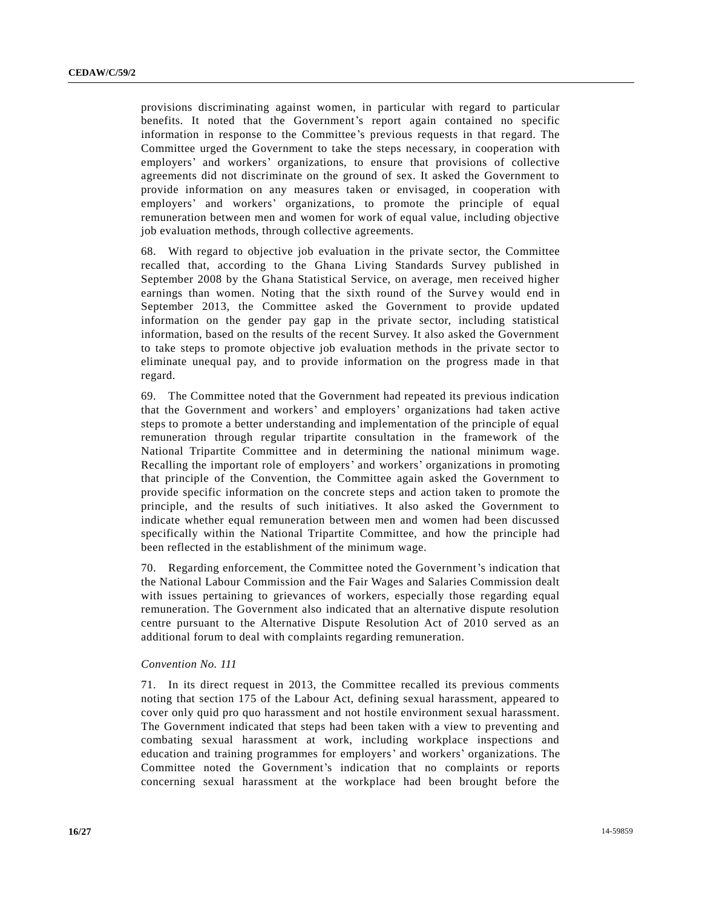provisions discriminating against women, in particular with regard to particular benefits. It noted that the Government's report again contained no specific information in response to the Committee's previous requests in that regard. The Committee urged the Government to take the steps necessary, in cooperation with employers' and workers' organizations, to ensure that provisions of collective agreements did not discriminate on the ground of sex. It asked the Government to provide information on any measures taken or envisaged, in cooperation with employers' and workers' organizations, to promote the principle of equal remuneration between men and women for work of equal value, including objective job evaluation methods, through collective agreements.

68. With regard to objective job evaluation in the private sector, the Committee recalled that, according to the Ghana Living Standards Survey published in September 2008 by the Ghana Statistical Service, on average, men received higher earnings than women. Noting that the sixth round of the Survey would end in September 2013, the Committee asked the Government to provide updated information on the gender pay gap in the private sector, including statistical information, based on the results of the recent Survey. It also asked the Government to take steps to promote objective job evaluation methods in the private sector to eliminate unequal pay, and to provide information on the progress made in that regard.

69. The Committee noted that the Government had repeated its previous indication that the Government and workers' and employers' organizations had taken active steps to promote a better understanding and implementation of the principle of equal remuneration through regular tripartite consultation in the framework of the National Tripartite Committee and in determining the national minimum wage. Recalling the important role of employers' and workers' organizations in promoting that principle of the Convention, the Committee again asked the Government to provide specific information on the concrete steps and action taken to promote the principle, and the results of such initiatives. It also asked the Government to indicate whether equal remuneration between men and women had been discussed specifically within the National Tripartite Committee, and how the principle had been reflected in the establishment of the minimum wage.

70. Regarding enforcement, the Committee noted the Government's indication that the National Labour Commission and the Fair Wages and Salaries Commission dealt with issues pertaining to grievances of workers, especially those regarding equal remuneration. The Government also indicated that an alternative dispute resolution centre pursuant to the Alternative Dispute Resolution Act of 2010 served as an additional forum to deal with complaints regarding remuneration.

#### *Convention No. 111*

71. In its direct request in 2013, the Committee recalled its previous comments noting that section 175 of the Labour Act, defining sexual harassment, appeared to cover only quid pro quo harassment and not hostile environment sexual harassment. The Government indicated that steps had been taken with a view to preventing and combating sexual harassment at work, including workplace inspections and education and training programmes for employers' and workers' organizations. The Committee noted the Government's indication that no complaints or reports concerning sexual harassment at the workplace had been brought before the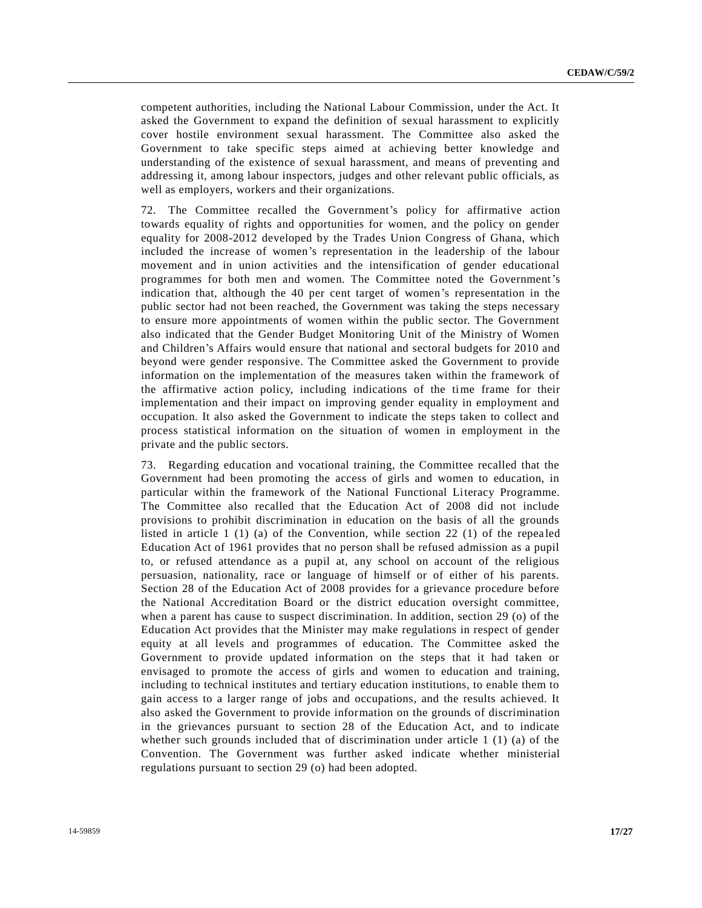competent authorities, including the National Labour Commission, under the Act. It asked the Government to expand the definition of sexual harassment to explicitly cover hostile environment sexual harassment. The Committee also asked the Government to take specific steps aimed at achieving better knowledge and understanding of the existence of sexual harassment, and means of preventing and addressing it, among labour inspectors, judges and other relevant public officials, as well as employers, workers and their organizations.

72. The Committee recalled the Government's policy for affirmative action towards equality of rights and opportunities for women, and the policy on gender equality for 2008-2012 developed by the Trades Union Congress of Ghana, which included the increase of women's representation in the leadership of the labour movement and in union activities and the intensification of gender educational programmes for both men and women. The Committee noted the Government's indication that, although the 40 per cent target of women's representation in the public sector had not been reached, the Government was taking the steps necessary to ensure more appointments of women within the public sector. The Government also indicated that the Gender Budget Monitoring Unit of the Ministry of Women and Children's Affairs would ensure that national and sectoral budgets for 2010 and beyond were gender responsive. The Committee asked the Government to provide information on the implementation of the measures taken within the framework of the affirmative action policy, including indications of the time frame for their implementation and their impact on improving gender equality in employment and occupation. It also asked the Government to indicate the steps taken to collect and process statistical information on the situation of women in employment in the private and the public sectors.

73. Regarding education and vocational training, the Committee recalled that the Government had been promoting the access of girls and women to education, in particular within the framework of the National Functional Literacy Programme. The Committee also recalled that the Education Act of 2008 did not include provisions to prohibit discrimination in education on the basis of all the grounds listed in article  $1 \n(1) \n(a)$  of the Convention, while section 22  $(1)$  of the repealed Education Act of 1961 provides that no person shall be refused admission as a pupil to, or refused attendance as a pupil at, any school on account of the religious persuasion, nationality, race or language of himself or of either of his parents. Section 28 of the Education Act of 2008 provides for a grievance procedure before the National Accreditation Board or the district education oversight committee, when a parent has cause to suspect discrimination. In addition, section 29 (o) of the Education Act provides that the Minister may make regulations in respect of gender equity at all levels and programmes of education. The Committee asked the Government to provide updated information on the steps that it had taken or envisaged to promote the access of girls and women to education and training, including to technical institutes and tertiary education institutions, to enable them to gain access to a larger range of jobs and occupations, and the results achieved. It also asked the Government to provide information on the grounds of discrimination in the grievances pursuant to section 28 of the Education Act, and to indicate whether such grounds included that of discrimination under article 1 (1) (a) of the Convention. The Government was further asked indicate whether ministerial regulations pursuant to section 29 (o) had been adopted.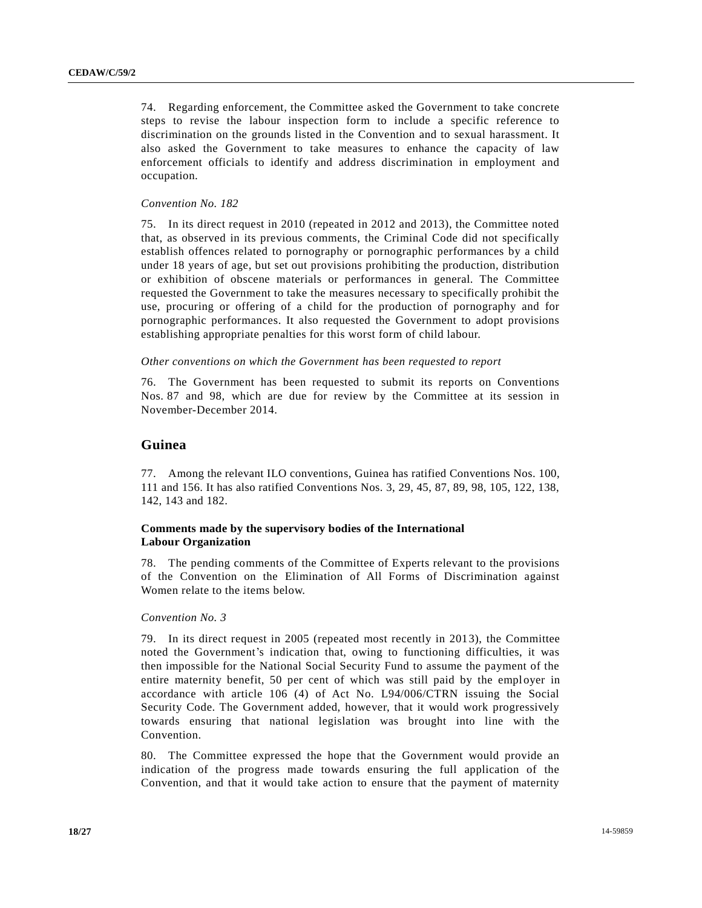74. Regarding enforcement, the Committee asked the Government to take concrete steps to revise the labour inspection form to include a specific reference to discrimination on the grounds listed in the Convention and to sexual harassment. It also asked the Government to take measures to enhance the capacity of law enforcement officials to identify and address discrimination in employment and occupation.

## *Convention No. 182*

75. In its direct request in 2010 (repeated in 2012 and 2013), the Committee noted that, as observed in its previous comments, the Criminal Code did not specifically establish offences related to pornography or pornographic performances by a child under 18 years of age, but set out provisions prohibiting the production, distribution or exhibition of obscene materials or performances in general. The Committee requested the Government to take the measures necessary to specifically prohibit the use, procuring or offering of a child for the production of pornography and for pornographic performances. It also requested the Government to adopt provisions establishing appropriate penalties for this worst form of child labour.

## *Other conventions on which the Government has been requested to report*

76. The Government has been requested to submit its reports on Conventions Nos. 87 and 98, which are due for review by the Committee at its session in November-December 2014.

## **Guinea**

77. Among the relevant ILO conventions, Guinea has ratified Conventions Nos. 100, 111 and 156. It has also ratified Conventions Nos. 3, 29, 45, 87, 89, 98, 105, 122, 138, 142, 143 and 182.

# **Comments made by the supervisory bodies of the International Labour Organization**

78. The pending comments of the Committee of Experts relevant to the provisions of the Convention on the Elimination of All Forms of Discrimination against Women relate to the items below.

## *Convention No. 3*

79. In its direct request in 2005 (repeated most recently in 2013), the Committee noted the Government's indication that, owing to functioning difficulties, it was then impossible for the National Social Security Fund to assume the payment of the entire maternity benefit, 50 per cent of which was still paid by the employer in accordance with article 106 (4) of Act No. L94/006/CTRN issuing the Social Security Code. The Government added, however, that it would work progressively towards ensuring that national legislation was brought into line with the Convention.

80. The Committee expressed the hope that the Government would provide an indication of the progress made towards ensuring the full application of the Convention, and that it would take action to ensure that the payment of maternity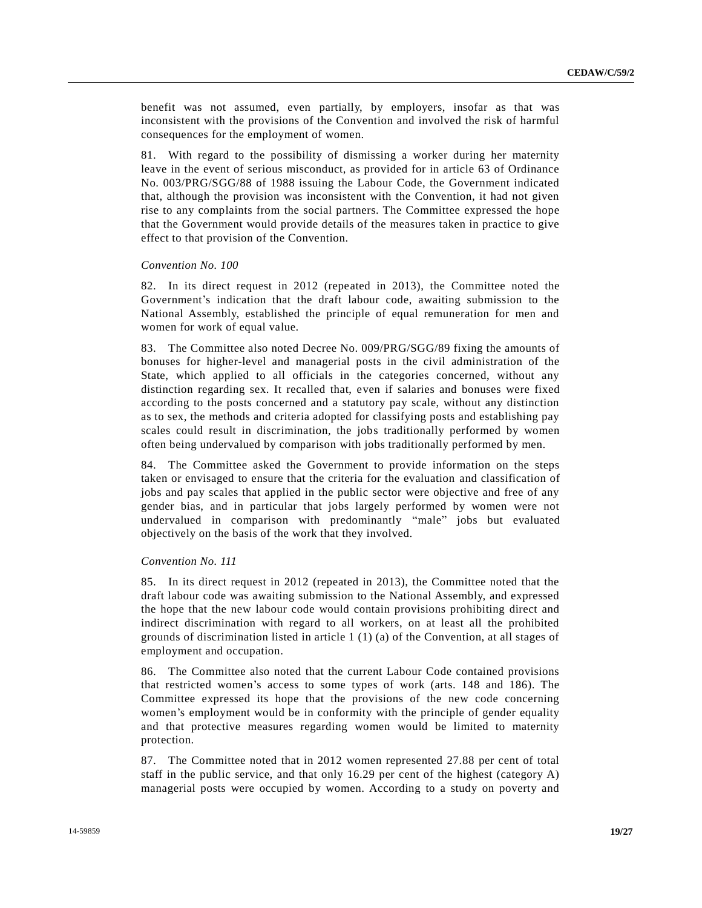benefit was not assumed, even partially, by employers, insofar as that was inconsistent with the provisions of the Convention and involved the risk of harmful consequences for the employment of women.

81. With regard to the possibility of dismissing a worker during her maternity leave in the event of serious misconduct, as provided for in article 63 of Ordinance No. 003/PRG/SGG/88 of 1988 issuing the Labour Code, the Government indicated that, although the provision was inconsistent with the Convention, it had not given rise to any complaints from the social partners. The Committee expressed the hope that the Government would provide details of the measures taken in practice to give effect to that provision of the Convention.

#### *Convention No. 100*

82. In its direct request in 2012 (repeated in 2013), the Committee noted the Government's indication that the draft labour code, awaiting submission to the National Assembly, established the principle of equal remuneration for men and women for work of equal value.

83. The Committee also noted Decree No. 009/PRG/SGG/89 fixing the amounts of bonuses for higher-level and managerial posts in the civil administration of the State, which applied to all officials in the categories concerned, without any distinction regarding sex. It recalled that, even if salaries and bonuses were fixed according to the posts concerned and a statutory pay scale, without any distinction as to sex, the methods and criteria adopted for classifying posts and establishing pay scales could result in discrimination, the jobs traditionally performed by women often being undervalued by comparison with jobs traditionally performed by men.

84. The Committee asked the Government to provide information on the steps taken or envisaged to ensure that the criteria for the evaluation and classification of jobs and pay scales that applied in the public sector were objective and free of any gender bias, and in particular that jobs largely performed by women were not undervalued in comparison with predominantly "male" jobs but evaluated objectively on the basis of the work that they involved.

#### *Convention No. 111*

85. In its direct request in 2012 (repeated in 2013), the Committee noted that the draft labour code was awaiting submission to the National Assembly, and expressed the hope that the new labour code would contain provisions prohibiting direct and indirect discrimination with regard to all workers, on at least all the prohibited grounds of discrimination listed in article 1 (1) (a) of the Convention, at all stages of employment and occupation.

86. The Committee also noted that the current Labour Code contained provisions that restricted women's access to some types of work (arts. 148 and 186). The Committee expressed its hope that the provisions of the new code concerning women's employment would be in conformity with the principle of gender equality and that protective measures regarding women would be limited to maternity protection.

87. The Committee noted that in 2012 women represented 27.88 per cent of total staff in the public service, and that only 16.29 per cent of the highest (category A) managerial posts were occupied by women. According to a study on poverty and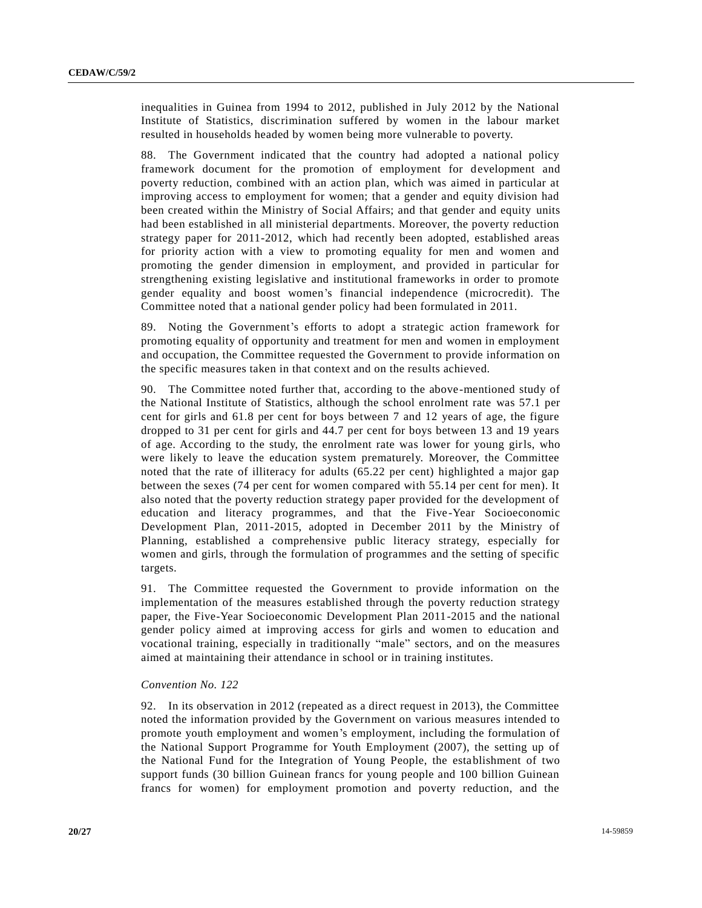inequalities in Guinea from 1994 to 2012, published in July 2012 by the National Institute of Statistics, discrimination suffered by women in the labour market resulted in households headed by women being more vulnerable to poverty.

88. The Government indicated that the country had adopted a national policy framework document for the promotion of employment for development and poverty reduction, combined with an action plan, which was aimed in particular at improving access to employment for women; that a gender and equity division had been created within the Ministry of Social Affairs; and that gender and equity units had been established in all ministerial departments. Moreover, the poverty reduction strategy paper for 2011-2012, which had recently been adopted, established areas for priority action with a view to promoting equality for men and women and promoting the gender dimension in employment, and provided in particular for strengthening existing legislative and institutional frameworks in order to promote gender equality and boost women's financial independence (microcredit). The Committee noted that a national gender policy had been formulated in 2011.

89. Noting the Government's efforts to adopt a strategic action framework for promoting equality of opportunity and treatment for men and women in employment and occupation, the Committee requested the Government to provide information on the specific measures taken in that context and on the results achieved.

90. The Committee noted further that, according to the above-mentioned study of the National Institute of Statistics, although the school enrolment rate was 57.1 per cent for girls and 61.8 per cent for boys between 7 and 12 years of age, the figure dropped to 31 per cent for girls and 44.7 per cent for boys between 13 and 19 years of age. According to the study, the enrolment rate was lower for young girls, who were likely to leave the education system prematurely. Moreover, the Committee noted that the rate of illiteracy for adults (65.22 per cent) highlighted a major gap between the sexes (74 per cent for women compared with 55.14 per cent for men). It also noted that the poverty reduction strategy paper provided for the development of education and literacy programmes, and that the Five-Year Socioeconomic Development Plan, 2011-2015, adopted in December 2011 by the Ministry of Planning, established a comprehensive public literacy strategy, especially for women and girls, through the formulation of programmes and the setting of specific targets.

91. The Committee requested the Government to provide information on the implementation of the measures established through the poverty reduction strategy paper, the Five-Year Socioeconomic Development Plan 2011-2015 and the national gender policy aimed at improving access for girls and women to education and vocational training, especially in traditionally "male" sectors, and on the measures aimed at maintaining their attendance in school or in training institutes.

## *Convention No. 122*

92. In its observation in 2012 (repeated as a direct request in 2013), the Committee noted the information provided by the Government on various measures intended to promote youth employment and women's employment, including the formulation of the National Support Programme for Youth Employment (2007), the setting up of the National Fund for the Integration of Young People, the establishment of two support funds (30 billion Guinean francs for young people and 100 billion Guinean francs for women) for employment promotion and poverty reduction, and the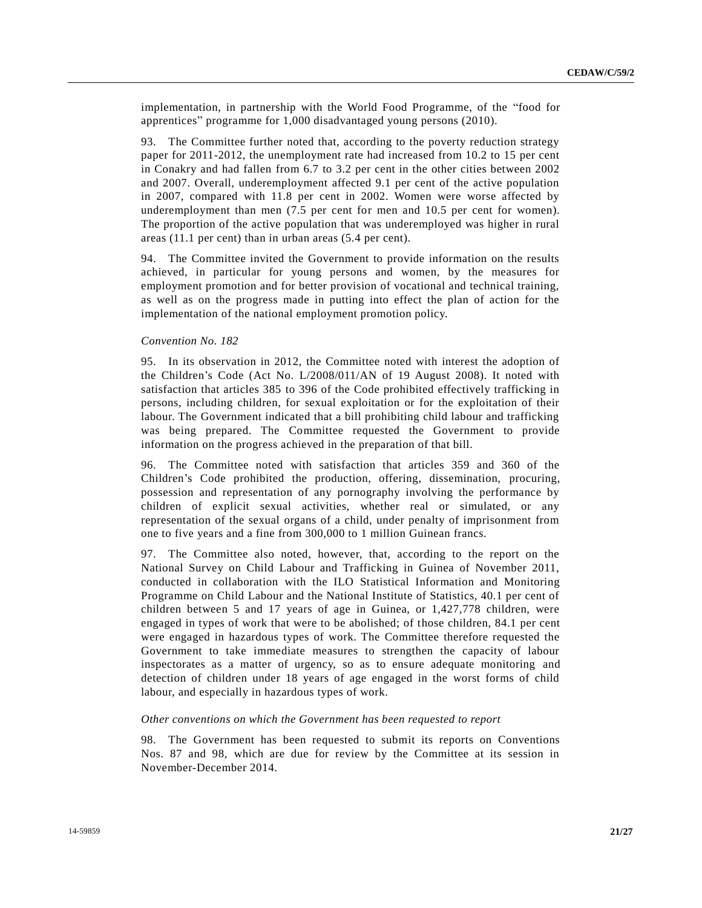implementation, in partnership with the World Food Programme, of the "food for apprentices" programme for 1,000 disadvantaged young persons (2010).

93. The Committee further noted that, according to the poverty reduction strategy paper for 2011-2012, the unemployment rate had increased from 10.2 to 15 per cent in Conakry and had fallen from 6.7 to 3.2 per cent in the other cities between 2002 and 2007. Overall, underemployment affected 9.1 per cent of the active population in 2007, compared with 11.8 per cent in 2002. Women were worse affected by underemployment than men (7.5 per cent for men and 10.5 per cent for women). The proportion of the active population that was underemployed was higher in rural areas (11.1 per cent) than in urban areas (5.4 per cent).

94. The Committee invited the Government to provide information on the results achieved, in particular for young persons and women, by the measures for employment promotion and for better provision of vocational and technical training, as well as on the progress made in putting into effect the plan of action for the implementation of the national employment promotion policy.

#### *Convention No. 182*

95. In its observation in 2012, the Committee noted with interest the adoption of the Children's Code (Act No. L/2008/011/AN of 19 August 2008). It noted with satisfaction that articles 385 to 396 of the Code prohibited effectively trafficking in persons, including children, for sexual exploitation or for the exploitation of their labour. The Government indicated that a bill prohibiting child labour and trafficking was being prepared. The Committee requested the Government to provide information on the progress achieved in the preparation of that bill.

96. The Committee noted with satisfaction that articles 359 and 360 of the Children's Code prohibited the production, offering, dissemination, procuring, possession and representation of any pornography involving the performance by children of explicit sexual activities, whether real or simulated, or any representation of the sexual organs of a child, under penalty of imprisonment from one to five years and a fine from 300,000 to 1 million Guinean francs.

97. The Committee also noted, however, that, according to the report on the National Survey on Child Labour and Trafficking in Guinea of November 2011, conducted in collaboration with the ILO Statistical Information and Monitoring Programme on Child Labour and the National Institute of Statistics, 40.1 per cent of children between 5 and 17 years of age in Guinea, or 1,427,778 children, were engaged in types of work that were to be abolished; of those children, 84.1 per cent were engaged in hazardous types of work. The Committee therefore requested the Government to take immediate measures to strengthen the capacity of labour inspectorates as a matter of urgency, so as to ensure adequate monitoring and detection of children under 18 years of age engaged in the worst forms of child labour, and especially in hazardous types of work.

#### *Other conventions on which the Government has been requested to report*

98. The Government has been requested to submit its reports on Conventions Nos. 87 and 98, which are due for review by the Committee at its session in November-December 2014.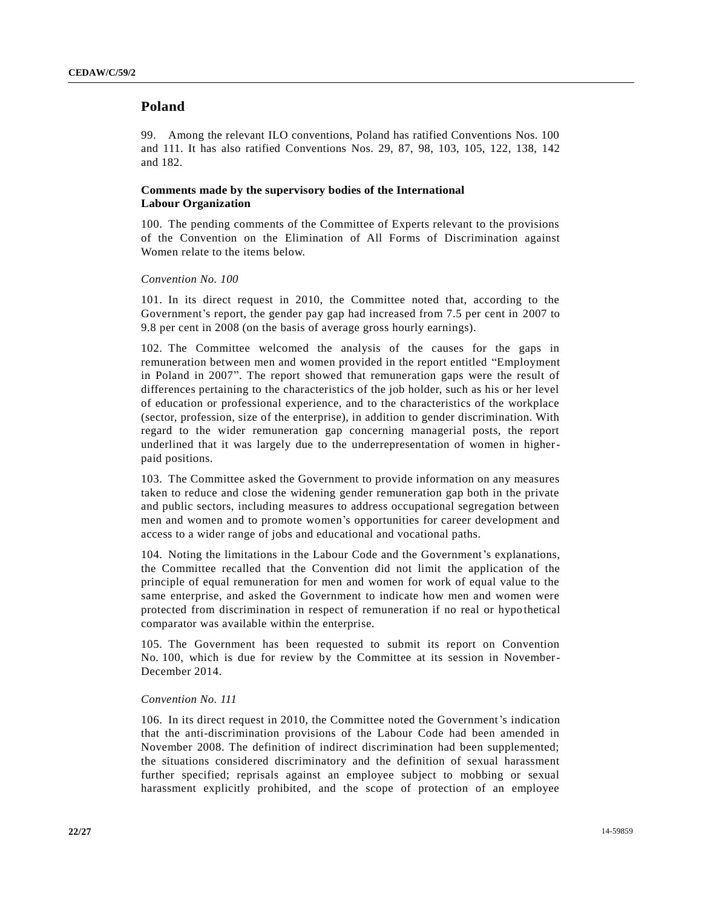# **Poland**

99. Among the relevant ILO conventions, Poland has ratified Conventions Nos. 100 and 111. It has also ratified Conventions Nos. 29, 87, 98, 103, 105, 122, 138, 142 and 182.

## **Comments made by the supervisory bodies of the International Labour Organization**

100. The pending comments of the Committee of Experts relevant to the provisions of the Convention on the Elimination of All Forms of Discrimination against Women relate to the items below.

## *Convention No. 100*

101. In its direct request in 2010, the Committee noted that, according to the Government's report, the gender pay gap had increased from 7.5 per cent in 2007 to 9.8 per cent in 2008 (on the basis of average gross hourly earnings).

102. The Committee welcomed the analysis of the causes for the gaps in remuneration between men and women provided in the report entitled "Employment in Poland in 2007". The report showed that remuneration gaps were the result of differences pertaining to the characteristics of the job holder, such as his or her level of education or professional experience, and to the characteristics of the workplace (sector, profession, size of the enterprise), in addition to gender discrimination. With regard to the wider remuneration gap concerning managerial posts, the report underlined that it was largely due to the underrepresentation of women in higherpaid positions.

103. The Committee asked the Government to provide information on any measures taken to reduce and close the widening gender remuneration gap both in the private and public sectors, including measures to address occupational segregation between men and women and to promote women's opportunities for career development and access to a wider range of jobs and educational and vocational paths.

104. Noting the limitations in the Labour Code and the Government's explanations, the Committee recalled that the Convention did not limit the application of the principle of equal remuneration for men and women for work of equal value to the same enterprise, and asked the Government to indicate how men and women were protected from discrimination in respect of remuneration if no real or hypo thetical comparator was available within the enterprise.

105. The Government has been requested to submit its report on Convention No. 100, which is due for review by the Committee at its session in November-December 2014.

## *Convention No. 111*

106. In its direct request in 2010, the Committee noted the Government's indication that the anti-discrimination provisions of the Labour Code had been amended in November 2008. The definition of indirect discrimination had been supplemented; the situations considered discriminatory and the definition of sexual harassment further specified; reprisals against an employee subject to mobbing or sexual harassment explicitly prohibited, and the scope of protection of an employee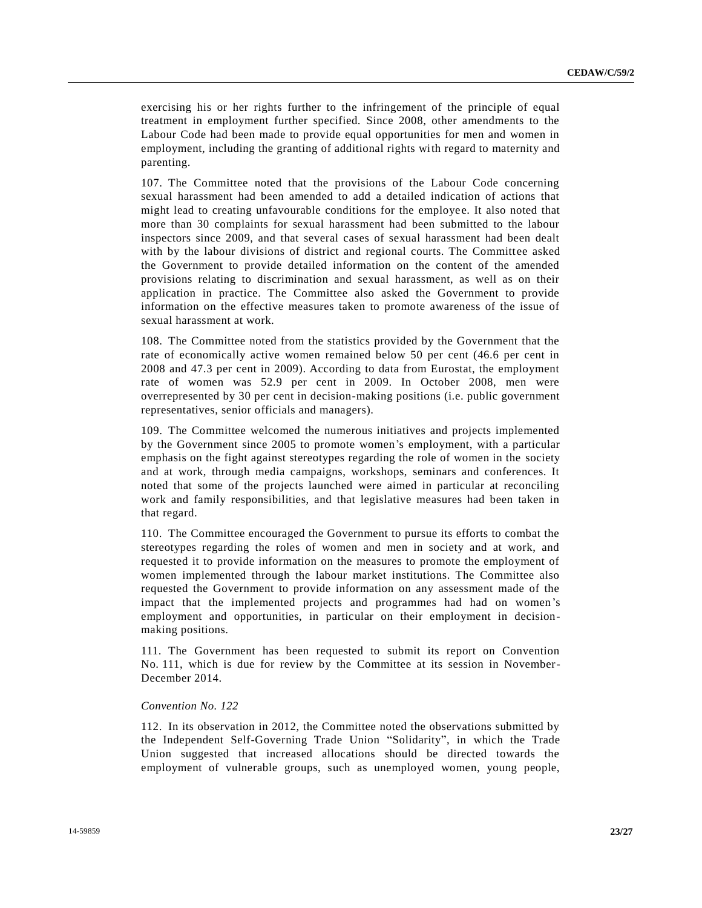exercising his or her rights further to the infringement of the principle of equal treatment in employment further specified. Since 2008, other amendments to the Labour Code had been made to provide equal opportunities for men and women in employment, including the granting of additional rights with regard to maternity and parenting.

107. The Committee noted that the provisions of the Labour Code concerning sexual harassment had been amended to add a detailed indication of actions that might lead to creating unfavourable conditions for the employee. It also noted that more than 30 complaints for sexual harassment had been submitted to the labour inspectors since 2009, and that several cases of sexual harassment had been dealt with by the labour divisions of district and regional courts. The Committee asked the Government to provide detailed information on the content of the amended provisions relating to discrimination and sexual harassment, as well as on their application in practice. The Committee also asked the Government to provide information on the effective measures taken to promote awareness of the issue of sexual harassment at work.

108. The Committee noted from the statistics provided by the Government that the rate of economically active women remained below 50 per cent (46.6 per cent in 2008 and 47.3 per cent in 2009). According to data from Eurostat, the employment rate of women was 52.9 per cent in 2009. In October 2008, men were overrepresented by 30 per cent in decision-making positions (i.e. public government representatives, senior officials and managers).

109. The Committee welcomed the numerous initiatives and projects implemented by the Government since 2005 to promote women's employment, with a particular emphasis on the fight against stereotypes regarding the role of women in the society and at work, through media campaigns, workshops, seminars and conferences. It noted that some of the projects launched were aimed in particular at reconciling work and family responsibilities, and that legislative measures had been taken in that regard.

110. The Committee encouraged the Government to pursue its efforts to combat the stereotypes regarding the roles of women and men in society and at work, and requested it to provide information on the measures to promote the employment of women implemented through the labour market institutions. The Committee also requested the Government to provide information on any assessment made of the impact that the implemented projects and programmes had had on women's employment and opportunities, in particular on their employment in decisionmaking positions.

111. The Government has been requested to submit its report on Convention No. 111, which is due for review by the Committee at its session in November-December 2014.

#### *Convention No. 122*

112. In its observation in 2012, the Committee noted the observations submitted by the Independent Self-Governing Trade Union "Solidarity", in which the Trade Union suggested that increased allocations should be directed towards the employment of vulnerable groups, such as unemployed women, young people,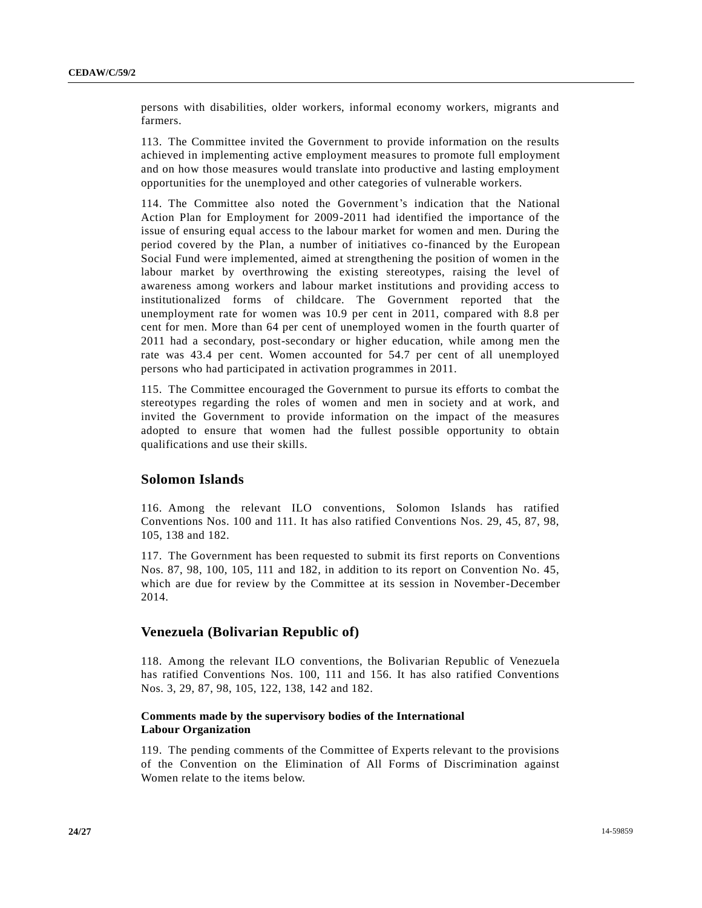persons with disabilities, older workers, informal economy workers, migrants and farmers.

113. The Committee invited the Government to provide information on the results achieved in implementing active employment measures to promote full employment and on how those measures would translate into productive and lasting employment opportunities for the unemployed and other categories of vulnerable workers.

114. The Committee also noted the Government's indication that the National Action Plan for Employment for 2009-2011 had identified the importance of the issue of ensuring equal access to the labour market for women and men. During the period covered by the Plan, a number of initiatives co-financed by the European Social Fund were implemented, aimed at strengthening the position of women in the labour market by overthrowing the existing stereotypes, raising the level of awareness among workers and labour market institutions and providing access to institutionalized forms of childcare. The Government reported that the unemployment rate for women was 10.9 per cent in 2011, compared with 8.8 per cent for men. More than 64 per cent of unemployed women in the fourth quarter of 2011 had a secondary, post-secondary or higher education, while among men the rate was 43.4 per cent. Women accounted for 54.7 per cent of all unemployed persons who had participated in activation programmes in 2011.

115. The Committee encouraged the Government to pursue its efforts to combat the stereotypes regarding the roles of women and men in society and at work, and invited the Government to provide information on the impact of the measures adopted to ensure that women had the fullest possible opportunity to obtain qualifications and use their skills.

# **Solomon Islands**

116. Among the relevant ILO conventions, Solomon Islands has ratified Conventions Nos. 100 and 111. It has also ratified Conventions Nos. 29, 45, 87, 98, 105, 138 and 182.

117. The Government has been requested to submit its first reports on Conventions Nos. 87, 98, 100, 105, 111 and 182, in addition to its report on Convention No. 45, which are due for review by the Committee at its session in November-December 2014.

# **Venezuela (Bolivarian Republic of)**

118. Among the relevant ILO conventions, the Bolivarian Republic of Venezuela has ratified Conventions Nos. 100, 111 and 156. It has also ratified Conventions Nos. 3, 29, 87, 98, 105, 122, 138, 142 and 182.

## **Comments made by the supervisory bodies of the International Labour Organization**

119. The pending comments of the Committee of Experts relevant to the provisions of the Convention on the Elimination of All Forms of Discrimination against Women relate to the items below.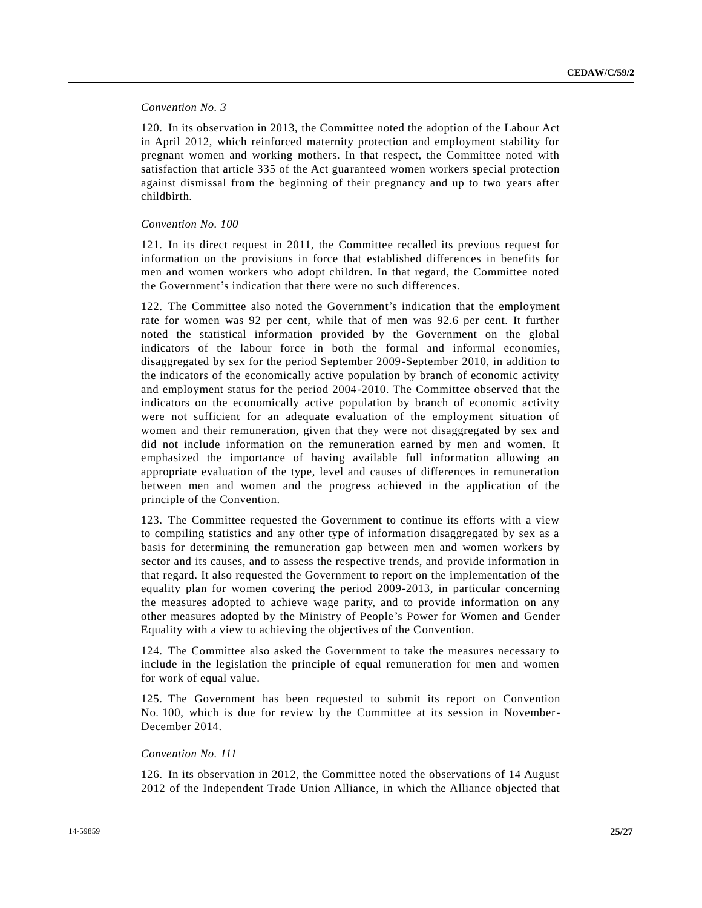## *Convention No. 3*

120. In its observation in 2013, the Committee noted the adoption of the Labour Act in April 2012, which reinforced maternity protection and employment stability for pregnant women and working mothers. In that respect, the Committee noted with satisfaction that article 335 of the Act guaranteed women workers special protection against dismissal from the beginning of their pregnancy and up to two years after childbirth.

### *Convention No. 100*

121. In its direct request in 2011, the Committee recalled its previous request for information on the provisions in force that established differences in benefits for men and women workers who adopt children. In that regard, the Committee noted the Government's indication that there were no such differences.

122. The Committee also noted the Government's indication that the employment rate for women was 92 per cent, while that of men was 92.6 per cent. It further noted the statistical information provided by the Government on the global indicators of the labour force in both the formal and informal economies, disaggregated by sex for the period September 2009-September 2010, in addition to the indicators of the economically active population by branch of economic activity and employment status for the period 2004-2010. The Committee observed that the indicators on the economically active population by branch of economic activity were not sufficient for an adequate evaluation of the employment situation of women and their remuneration, given that they were not disaggregated by sex and did not include information on the remuneration earned by men and women. It emphasized the importance of having available full information allowing an appropriate evaluation of the type, level and causes of differences in remuneration between men and women and the progress achieved in the application of the principle of the Convention.

123. The Committee requested the Government to continue its efforts with a view to compiling statistics and any other type of information disaggregated by sex as a basis for determining the remuneration gap between men and women workers by sector and its causes, and to assess the respective trends, and provide information in that regard. It also requested the Government to report on the implementation of the equality plan for women covering the period 2009-2013, in particular concerning the measures adopted to achieve wage parity, and to provide information on any other measures adopted by the Ministry of People's Power for Women and Gender Equality with a view to achieving the objectives of the Convention.

124. The Committee also asked the Government to take the measures necessary to include in the legislation the principle of equal remuneration for men and women for work of equal value.

125. The Government has been requested to submit its report on Convention No. 100, which is due for review by the Committee at its session in November-December 2014.

#### *Convention No. 111*

126. In its observation in 2012, the Committee noted the observations of 14 August 2012 of the Independent Trade Union Alliance, in which the Alliance objected that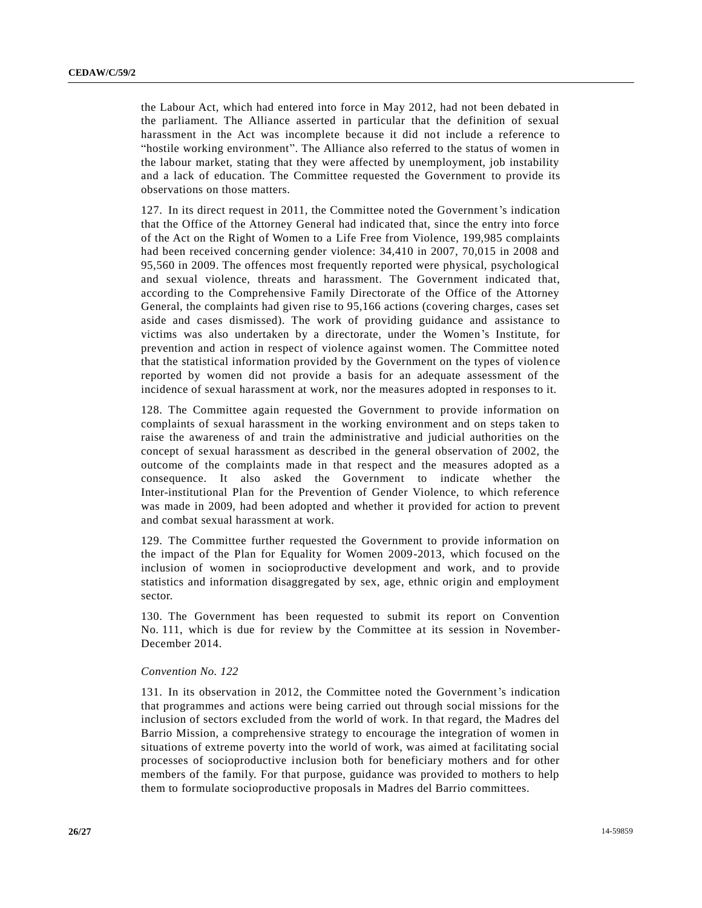the Labour Act, which had entered into force in May 2012, had not been debated in the parliament. The Alliance asserted in particular that the definition of sexual harassment in the Act was incomplete because it did not include a reference to "hostile working environment". The Alliance also referred to the status of women in the labour market, stating that they were affected by unemployment, job instability and a lack of education. The Committee requested the Government to provide its observations on those matters.

127. In its direct request in 2011, the Committee noted the Government's indication that the Office of the Attorney General had indicated that, since the entry into force of the Act on the Right of Women to a Life Free from Violence, 199,985 complaints had been received concerning gender violence: 34,410 in 2007, 70,015 in 2008 and 95,560 in 2009. The offences most frequently reported were physical, psychological and sexual violence, threats and harassment. The Government indicated that, according to the Comprehensive Family Directorate of the Office of the Attorney General, the complaints had given rise to 95,166 actions (covering charges, cases set aside and cases dismissed). The work of providing guidance and assistance to victims was also undertaken by a directorate, under the Women's Institute, for prevention and action in respect of violence against women. The Committee noted that the statistical information provided by the Government on the types of violen ce reported by women did not provide a basis for an adequate assessment of the incidence of sexual harassment at work, nor the measures adopted in responses to it.

128. The Committee again requested the Government to provide information on complaints of sexual harassment in the working environment and on steps taken to raise the awareness of and train the administrative and judicial authorities on the concept of sexual harassment as described in the general observation of 2002, the outcome of the complaints made in that respect and the measures adopted as a consequence. It also asked the Government to indicate whether the Inter-institutional Plan for the Prevention of Gender Violence, to which reference was made in 2009, had been adopted and whether it provided for action to prevent and combat sexual harassment at work.

129. The Committee further requested the Government to provide information on the impact of the Plan for Equality for Women 2009-2013, which focused on the inclusion of women in socioproductive development and work, and to provide statistics and information disaggregated by sex, age, ethnic origin and employment sector.

130. The Government has been requested to submit its report on Convention No. 111, which is due for review by the Committee at its session in November-December 2014.

#### *Convention No. 122*

131. In its observation in 2012, the Committee noted the Government's indication that programmes and actions were being carried out through social missions for the inclusion of sectors excluded from the world of work. In that regard, the Madres del Barrio Mission, a comprehensive strategy to encourage the integration of women in situations of extreme poverty into the world of work, was aimed at facilitating social processes of socioproductive inclusion both for beneficiary mothers and for other members of the family. For that purpose, guidance was provided to mothers to help them to formulate socioproductive proposals in Madres del Barrio committees.